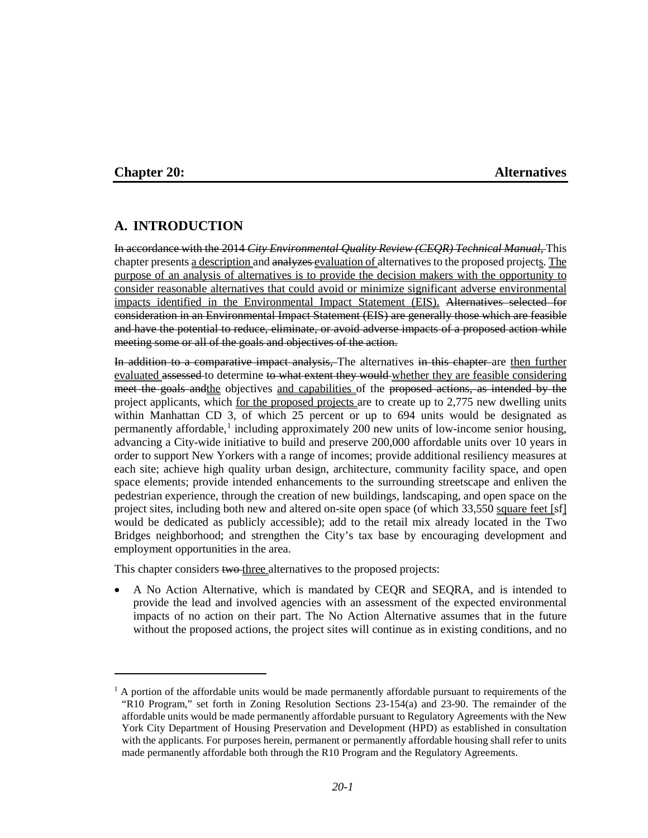$\overline{a}$ 

#### **Chapter 20: Alternatives**

## **A. INTRODUCTION**

In accordance with the 2014 *City Environmental Quality Review (CEQR) Technical Manual*, This chapter presents a description and analyzes evaluation of alternatives to the proposed projects. The purpose of an analysis of alternatives is to provide the decision makers with the opportunity to consider reasonable alternatives that could avoid or minimize significant adverse environmental impacts identified in the Environmental Impact Statement (EIS). Alternatives selected for consideration in an Environmental Impact Statement (EIS) are generally those which are feasible and have the potential to reduce, eliminate, or avoid adverse impacts of a proposed action while meeting some or all of the goals and objectives of the action.

In addition to a comparative impact analysis. The alternatives in this chapter are then further evaluated assessed to determine to what extent they would whether they are feasible considering meet the goals and the objectives and capabilities of the proposed actions, as intended by the project applicants, which for the proposed projects are to create up to 2,775 new dwelling units within Manhattan CD 3, of which 25 percent or up to 694 units would be designated as permanently affordable,<sup>[1](#page-0-0)</sup> including approximately 200 new units of low-income senior housing, advancing a City-wide initiative to build and preserve 200,000 affordable units over 10 years in order to support New Yorkers with a range of incomes; provide additional resiliency measures at each site; achieve high quality urban design, architecture, community facility space, and open space elements; provide intended enhancements to the surrounding streetscape and enliven the pedestrian experience, through the creation of new buildings, landscaping, and open space on the project sites, including both new and altered on-site open space (of which 33,550 square feet [sf] would be dedicated as publicly accessible); add to the retail mix already located in the Two Bridges neighborhood; and strengthen the City's tax base by encouraging development and employment opportunities in the area.

This chapter considers two three alternatives to the proposed projects:

• A No Action Alternative, which is mandated by CEQR and SEQRA, and is intended to provide the lead and involved agencies with an assessment of the expected environmental impacts of no action on their part. The No Action Alternative assumes that in the future without the proposed actions, the project sites will continue as in existing conditions, and no

<span id="page-0-0"></span> $1$  A portion of the affordable units would be made permanently affordable pursuant to requirements of the "R10 Program," set forth in Zoning Resolution Sections 23-154(a) and 23-90. The remainder of the affordable units would be made permanently affordable pursuant to Regulatory Agreements with the New York City Department of Housing Preservation and Development (HPD) as established in consultation with the applicants. For purposes herein, permanent or permanently affordable housing shall refer to units made permanently affordable both through the R10 Program and the Regulatory Agreements.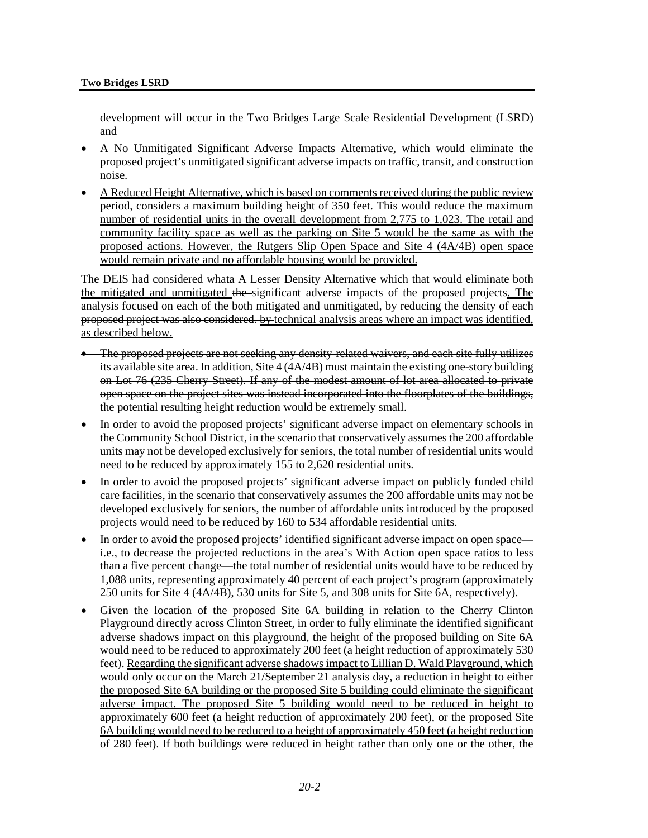development will occur in the Two Bridges Large Scale Residential Development (LSRD) and

- A No Unmitigated Significant Adverse Impacts Alternative, which would eliminate the proposed project's unmitigated significant adverse impacts on traffic, transit, and construction noise.
- A Reduced Height Alternative, which is based on comments received during the public review period, considers a maximum building height of 350 feet. This would reduce the maximum number of residential units in the overall development from 2,775 to 1,023. The retail and community facility space as well as the parking on Site 5 would be the same as with the proposed actions. However, the Rutgers Slip Open Space and Site 4 (4A/4B) open space would remain private and no affordable housing would be provided.

The DEIS had considered whata A-Lesser Density Alternative which that would eliminate both the mitigated and unmitigated the significant adverse impacts of the proposed projects. The analysis focused on each of the both mitigated and unmitigated, by reducing the density of each proposed project was also considered. by technical analysis areas where an impact was identified, as described below.

- The proposed projects are not seeking any density-related waivers, and each site fully utilizes its available site area. In addition, Site 4 (4A/4B) must maintain the existing one-story building on Lot 76 (235 Cherry Street). If any of the modest amount of lot area allocated to private open space on the project sites was instead incorporated into the floorplates of the buildings, the potential resulting height reduction would be extremely small.
- In order to avoid the proposed projects' significant adverse impact on elementary schools in the Community School District, in the scenario that conservatively assumes the 200 affordable units may not be developed exclusively for seniors, the total number of residential units would need to be reduced by approximately 155 to 2,620 residential units.
- In order to avoid the proposed projects' significant adverse impact on publicly funded child care facilities, in the scenario that conservatively assumes the 200 affordable units may not be developed exclusively for seniors, the number of affordable units introduced by the proposed projects would need to be reduced by 160 to 534 affordable residential units.
- In order to avoid the proposed projects' identified significant adverse impact on open space i.e., to decrease the projected reductions in the area's With Action open space ratios to less than a five percent change—the total number of residential units would have to be reduced by 1,088 units, representing approximately 40 percent of each project's program (approximately 250 units for Site 4 (4A/4B), 530 units for Site 5, and 308 units for Site 6A, respectively).
- Given the location of the proposed Site 6A building in relation to the Cherry Clinton Playground directly across Clinton Street, in order to fully eliminate the identified significant adverse shadows impact on this playground, the height of the proposed building on Site 6A would need to be reduced to approximately 200 feet (a height reduction of approximately 530 feet). Regarding the significant adverse shadows impact to Lillian D. Wald Playground, which would only occur on the March 21/September 21 analysis day, a reduction in height to either the proposed Site 6A building or the proposed Site 5 building could eliminate the significant adverse impact. The proposed Site 5 building would need to be reduced in height to approximately 600 feet (a height reduction of approximately 200 feet), or the proposed Site 6A building would need to be reduced to a height of approximately 450 feet (a height reduction of 280 feet). If both buildings were reduced in height rather than only one or the other, the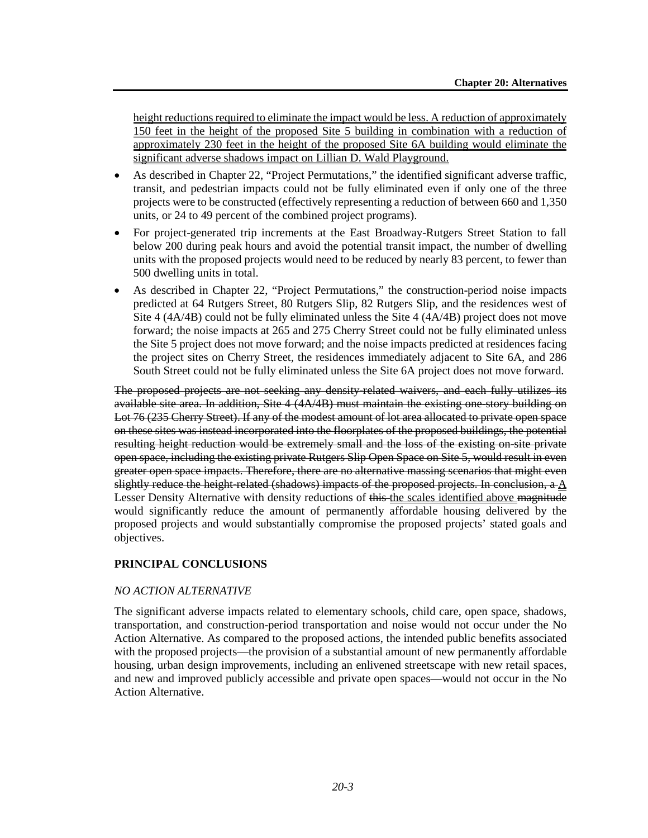height reductions required to eliminate the impact would be less. A reduction of approximately 150 feet in the height of the proposed Site 5 building in combination with a reduction of approximately 230 feet in the height of the proposed Site 6A building would eliminate the significant adverse shadows impact on Lillian D. Wald Playground.

- As described in Chapter 22, "Project Permutations," the identified significant adverse traffic, transit, and pedestrian impacts could not be fully eliminated even if only one of the three projects were to be constructed (effectively representing a reduction of between 660 and 1,350 units, or 24 to 49 percent of the combined project programs).
- For project-generated trip increments at the East Broadway-Rutgers Street Station to fall below 200 during peak hours and avoid the potential transit impact, the number of dwelling units with the proposed projects would need to be reduced by nearly 83 percent, to fewer than 500 dwelling units in total.
- As described in Chapter 22, "Project Permutations," the construction-period noise impacts predicted at 64 Rutgers Street, 80 Rutgers Slip, 82 Rutgers Slip, and the residences west of Site 4 (4A/4B) could not be fully eliminated unless the Site 4 (4A/4B) project does not move forward; the noise impacts at 265 and 275 Cherry Street could not be fully eliminated unless the Site 5 project does not move forward; and the noise impacts predicted at residences facing the project sites on Cherry Street, the residences immediately adjacent to Site 6A, and 286 South Street could not be fully eliminated unless the Site 6A project does not move forward.

The proposed projects are not seeking any density-related waivers, and each fully utilizes its available site area. In addition, Site 4 (4A/4B) must maintain the existing one-story building on Lot 76 (235 Cherry Street). If any of the modest amount of lot area allocated to private open space on these sites was instead incorporated into the floorplates of the proposed buildings, the potential resulting height reduction would be extremely small and the loss of the existing on-site private open space, including the existing private Rutgers Slip Open Space on Site 5, would result in even greater open space impacts. Therefore, there are no alternative massing scenarios that might even slightly reduce the height-related (shadows) impacts of the proposed projects. In conclusion,  $a \Lambda$ Lesser Density Alternative with density reductions of this the scales identified above magnitude would significantly reduce the amount of permanently affordable housing delivered by the proposed projects and would substantially compromise the proposed projects' stated goals and objectives.

## **PRINCIPAL CONCLUSIONS**

## *NO ACTION ALTERNATIVE*

The significant adverse impacts related to elementary schools, child care, open space, shadows, transportation, and construction-period transportation and noise would not occur under the No Action Alternative. As compared to the proposed actions, the intended public benefits associated with the proposed projects—the provision of a substantial amount of new permanently affordable housing, urban design improvements, including an enlivened streetscape with new retail spaces, and new and improved publicly accessible and private open spaces—would not occur in the No Action Alternative.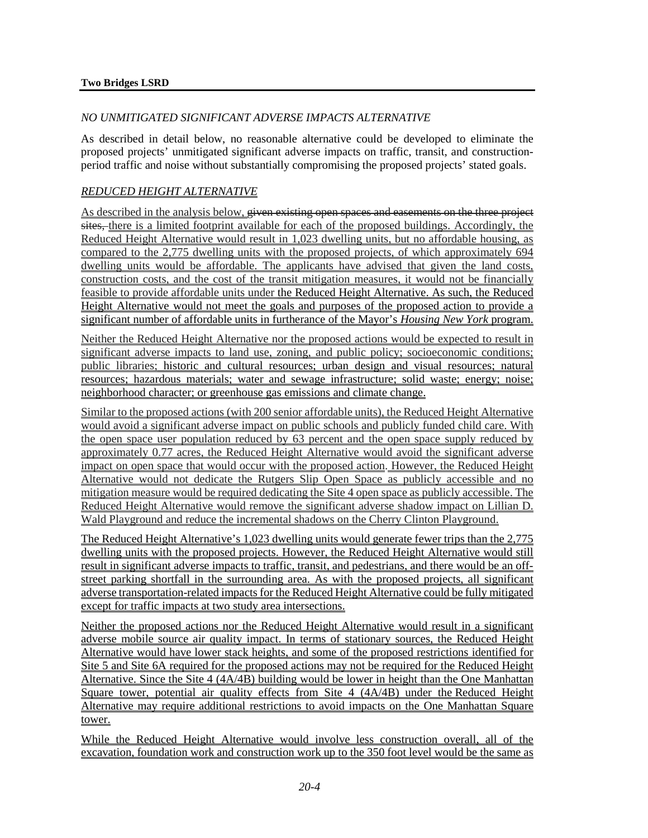#### *NO UNMITIGATED SIGNIFICANT ADVERSE IMPACTS ALTERNATIVE*

As described in detail below, no reasonable alternative could be developed to eliminate the proposed projects' unmitigated significant adverse impacts on traffic, transit, and constructionperiod traffic and noise without substantially compromising the proposed projects' stated goals.

### *REDUCED HEIGHT ALTERNATIVE*

As described in the analysis below, given existing open spaces and easements on the three project sites, there is a limited footprint available for each of the proposed buildings. Accordingly, the Reduced Height Alternative would result in 1,023 dwelling units, but no affordable housing, as compared to the 2,775 dwelling units with the proposed projects, of which approximately 694 dwelling units would be affordable. The applicants have advised that given the land costs, construction costs, and the cost of the transit mitigation measures, it would not be financially feasible to provide affordable units under the Reduced Height Alternative. As such, the Reduced Height Alternative would not meet the goals and purposes of the proposed action to provide a significant number of affordable units in furtherance of the Mayor's *Housing New York* program.

Neither the Reduced Height Alternative nor the proposed actions would be expected to result in significant adverse impacts to land use, zoning, and public policy; socioeconomic conditions; public libraries; historic and cultural resources; urban design and visual resources; natural resources; hazardous materials; water and sewage infrastructure; solid waste; energy; noise; neighborhood character; or greenhouse gas emissions and climate change.

Similar to the proposed actions (with 200 senior affordable units), the Reduced Height Alternative would avoid a significant adverse impact on public schools and publicly funded child care. With the open space user population reduced by 63 percent and the open space supply reduced by approximately 0.77 acres, the Reduced Height Alternative would avoid the significant adverse impact on open space that would occur with the proposed action. However, the Reduced Height Alternative would not dedicate the Rutgers Slip Open Space as publicly accessible and no mitigation measure would be required dedicating the Site 4 open space as publicly accessible. The Reduced Height Alternative would remove the significant adverse shadow impact on Lillian D. Wald Playground and reduce the incremental shadows on the Cherry Clinton Playground.

The Reduced Height Alternative's 1,023 dwelling units would generate fewer trips than the 2,775 dwelling units with the proposed projects. However, the Reduced Height Alternative would still result in significant adverse impacts to traffic, transit, and pedestrians, and there would be an offstreet parking shortfall in the surrounding area. As with the proposed projects, all significant adverse transportation-related impacts for the Reduced Height Alternative could be fully mitigated except for traffic impacts at two study area intersections.

Neither the proposed actions nor the Reduced Height Alternative would result in a significant adverse mobile source air quality impact. In terms of stationary sources, the Reduced Height Alternative would have lower stack heights, and some of the proposed restrictions identified for Site 5 and Site 6A required for the proposed actions may not be required for the Reduced Height Alternative. Since the Site 4 (4A/4B) building would be lower in height than the One Manhattan Square tower, potential air quality effects from Site 4 (4A/4B) under the Reduced Height Alternative may require additional restrictions to avoid impacts on the One Manhattan Square tower.

While the Reduced Height Alternative would involve less construction overall, all of the excavation, foundation work and construction work up to the 350 foot level would be the same as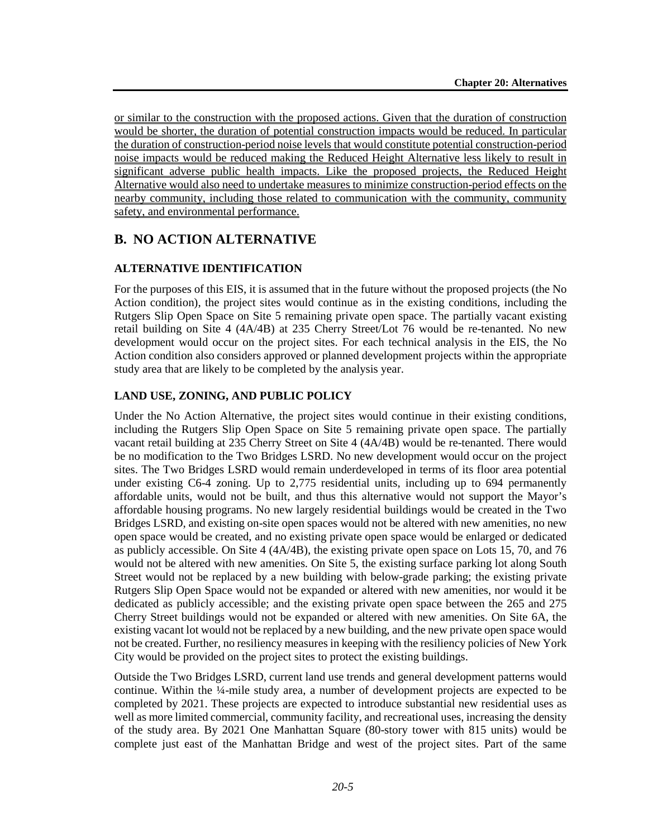or similar to the construction with the proposed actions. Given that the duration of construction would be shorter, the duration of potential construction impacts would be reduced. In particular the duration of construction-period noise levels that would constitute potential construction-period noise impacts would be reduced making the Reduced Height Alternative less likely to result in significant adverse public health impacts. Like the proposed projects, the Reduced Height Alternative would also need to undertake measures to minimize construction-period effects on the nearby community, including those related to communication with the community, community safety, and environmental performance.

## **B. NO ACTION ALTERNATIVE**

#### **ALTERNATIVE IDENTIFICATION**

For the purposes of this EIS, it is assumed that in the future without the proposed projects (the No Action condition), the project sites would continue as in the existing conditions, including the Rutgers Slip Open Space on Site 5 remaining private open space. The partially vacant existing retail building on Site 4 (4A/4B) at 235 Cherry Street/Lot 76 would be re-tenanted. No new development would occur on the project sites. For each technical analysis in the EIS, the No Action condition also considers approved or planned development projects within the appropriate study area that are likely to be completed by the analysis year.

## **LAND USE, ZONING, AND PUBLIC POLICY**

Under the No Action Alternative, the project sites would continue in their existing conditions, including the Rutgers Slip Open Space on Site 5 remaining private open space. The partially vacant retail building at 235 Cherry Street on Site 4 (4A/4B) would be re-tenanted. There would be no modification to the Two Bridges LSRD. No new development would occur on the project sites. The Two Bridges LSRD would remain underdeveloped in terms of its floor area potential under existing C6-4 zoning. Up to 2,775 residential units, including up to 694 permanently affordable units, would not be built, and thus this alternative would not support the Mayor's affordable housing programs. No new largely residential buildings would be created in the Two Bridges LSRD, and existing on-site open spaces would not be altered with new amenities, no new open space would be created, and no existing private open space would be enlarged or dedicated as publicly accessible. On Site 4 (4A/4B), the existing private open space on Lots 15, 70, and 76 would not be altered with new amenities. On Site 5, the existing surface parking lot along South Street would not be replaced by a new building with below-grade parking; the existing private Rutgers Slip Open Space would not be expanded or altered with new amenities, nor would it be dedicated as publicly accessible; and the existing private open space between the 265 and 275 Cherry Street buildings would not be expanded or altered with new amenities. On Site 6A, the existing vacant lot would not be replaced by a new building, and the new private open space would not be created. Further, no resiliency measures in keeping with the resiliency policies of New York City would be provided on the project sites to protect the existing buildings.

Outside the Two Bridges LSRD, current land use trends and general development patterns would continue. Within the ¼-mile study area, a number of development projects are expected to be completed by 2021. These projects are expected to introduce substantial new residential uses as well as more limited commercial, community facility, and recreational uses, increasing the density of the study area. By 2021 One Manhattan Square (80-story tower with 815 units) would be complete just east of the Manhattan Bridge and west of the project sites. Part of the same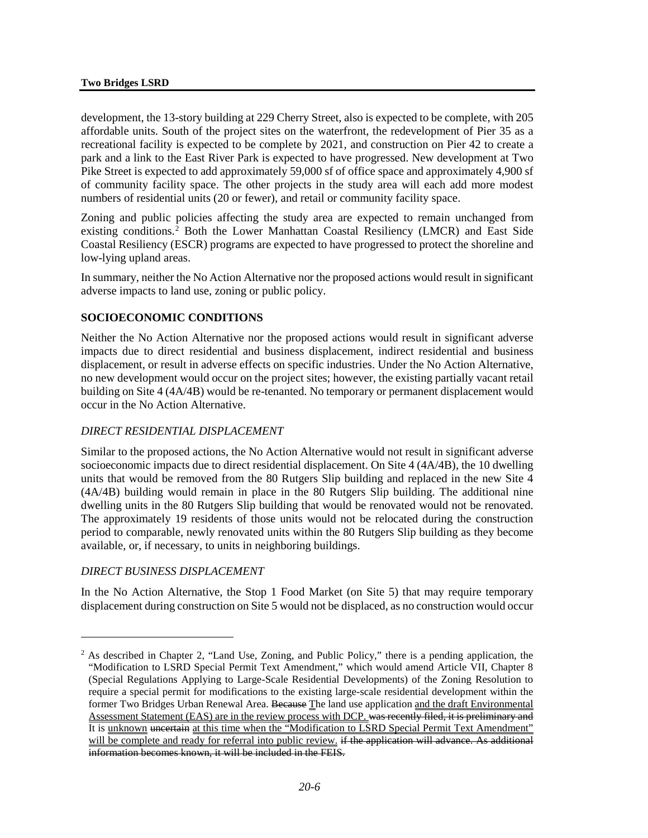development, the 13-story building at 229 Cherry Street, also is expected to be complete, with 205 affordable units. South of the project sites on the waterfront, the redevelopment of Pier 35 as a recreational facility is expected to be complete by 2021, and construction on Pier 42 to create a park and a link to the East River Park is expected to have progressed. New development at Two Pike Street is expected to add approximately 59,000 sf of office space and approximately 4,900 sf of community facility space. The other projects in the study area will each add more modest numbers of residential units (20 or fewer), and retail or community facility space.

Zoning and public policies affecting the study area are expected to remain unchanged from existing conditions.[2](#page-5-0) Both the Lower Manhattan Coastal Resiliency (LMCR) and East Side Coastal Resiliency (ESCR) programs are expected to have progressed to protect the shoreline and low-lying upland areas.

In summary, neither the No Action Alternative nor the proposed actions would result in significant adverse impacts to land use, zoning or public policy.

## **SOCIOECONOMIC CONDITIONS**

Neither the No Action Alternative nor the proposed actions would result in significant adverse impacts due to direct residential and business displacement, indirect residential and business displacement, or result in adverse effects on specific industries. Under the No Action Alternative, no new development would occur on the project sites; however, the existing partially vacant retail building on Site 4 (4A/4B) would be re-tenanted. No temporary or permanent displacement would occur in the No Action Alternative.

## *DIRECT RESIDENTIAL DISPLACEMENT*

Similar to the proposed actions, the No Action Alternative would not result in significant adverse socioeconomic impacts due to direct residential displacement. On Site 4 (4A/4B), the 10 dwelling units that would be removed from the 80 Rutgers Slip building and replaced in the new Site 4 (4A/4B) building would remain in place in the 80 Rutgers Slip building. The additional nine dwelling units in the 80 Rutgers Slip building that would be renovated would not be renovated. The approximately 19 residents of those units would not be relocated during the construction period to comparable, newly renovated units within the 80 Rutgers Slip building as they become available, or, if necessary, to units in neighboring buildings.

#### *DIRECT BUSINESS DISPLACEMENT*

 $\overline{a}$ 

In the No Action Alternative, the Stop 1 Food Market (on Site 5) that may require temporary displacement during construction on Site 5 would not be displaced, as no construction would occur

<span id="page-5-0"></span><sup>2</sup> As described in Chapter 2, "Land Use, Zoning, and Public Policy," there is a pending application, the "Modification to LSRD Special Permit Text Amendment," which would amend Article VII, Chapter 8 (Special Regulations Applying to Large-Scale Residential Developments) of the Zoning Resolution to require a special permit for modifications to the existing large-scale residential development within the former Two Bridges Urban Renewal Area. Because The land use application and the draft Environmental Assessment Statement (EAS) are in the review process with DCP. was recently filed, it is preliminary and It is unknown uncertain at this time when the "Modification to LSRD Special Permit Text Amendment" will be complete and ready for referral into public review. if the application will advance. As additional information becomes known, it will be included in the FEIS.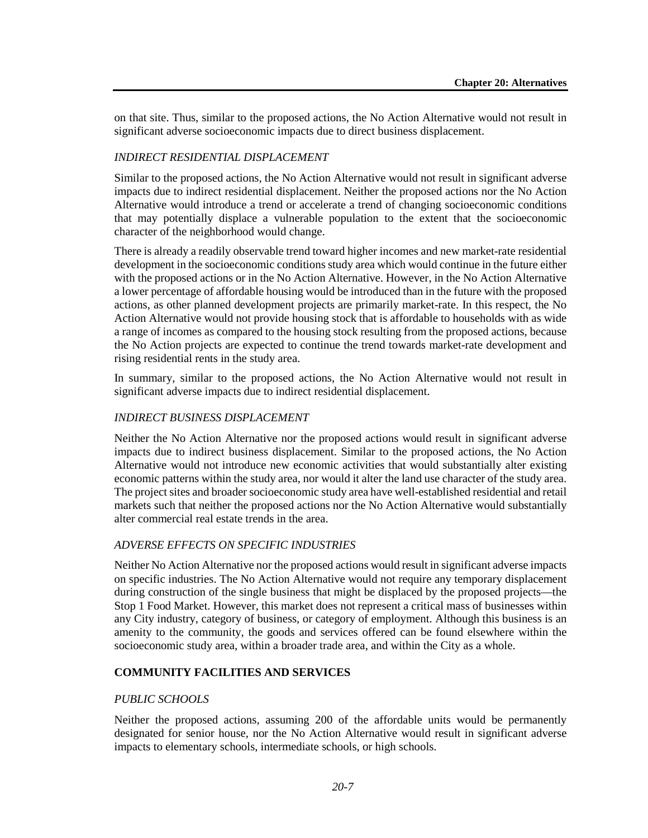on that site. Thus, similar to the proposed actions, the No Action Alternative would not result in significant adverse socioeconomic impacts due to direct business displacement.

#### *INDIRECT RESIDENTIAL DISPLACEMENT*

Similar to the proposed actions, the No Action Alternative would not result in significant adverse impacts due to indirect residential displacement. Neither the proposed actions nor the No Action Alternative would introduce a trend or accelerate a trend of changing socioeconomic conditions that may potentially displace a vulnerable population to the extent that the socioeconomic character of the neighborhood would change.

There is already a readily observable trend toward higher incomes and new market-rate residential development in the socioeconomic conditions study area which would continue in the future either with the proposed actions or in the No Action Alternative. However, in the No Action Alternative a lower percentage of affordable housing would be introduced than in the future with the proposed actions, as other planned development projects are primarily market-rate. In this respect, the No Action Alternative would not provide housing stock that is affordable to households with as wide a range of incomes as compared to the housing stock resulting from the proposed actions, because the No Action projects are expected to continue the trend towards market-rate development and rising residential rents in the study area.

In summary, similar to the proposed actions, the No Action Alternative would not result in significant adverse impacts due to indirect residential displacement.

#### *INDIRECT BUSINESS DISPLACEMENT*

Neither the No Action Alternative nor the proposed actions would result in significant adverse impacts due to indirect business displacement. Similar to the proposed actions, the No Action Alternative would not introduce new economic activities that would substantially alter existing economic patterns within the study area, nor would it alter the land use character of the study area. The project sites and broader socioeconomic study area have well-established residential and retail markets such that neither the proposed actions nor the No Action Alternative would substantially alter commercial real estate trends in the area.

#### *ADVERSE EFFECTS ON SPECIFIC INDUSTRIES*

Neither No Action Alternative nor the proposed actions would result in significant adverse impacts on specific industries. The No Action Alternative would not require any temporary displacement during construction of the single business that might be displaced by the proposed projects—the Stop 1 Food Market. However, this market does not represent a critical mass of businesses within any City industry, category of business, or category of employment. Although this business is an amenity to the community, the goods and services offered can be found elsewhere within the socioeconomic study area, within a broader trade area, and within the City as a whole.

#### **COMMUNITY FACILITIES AND SERVICES**

#### *PUBLIC SCHOOLS*

Neither the proposed actions, assuming 200 of the affordable units would be permanently designated for senior house, nor the No Action Alternative would result in significant adverse impacts to elementary schools, intermediate schools, or high schools.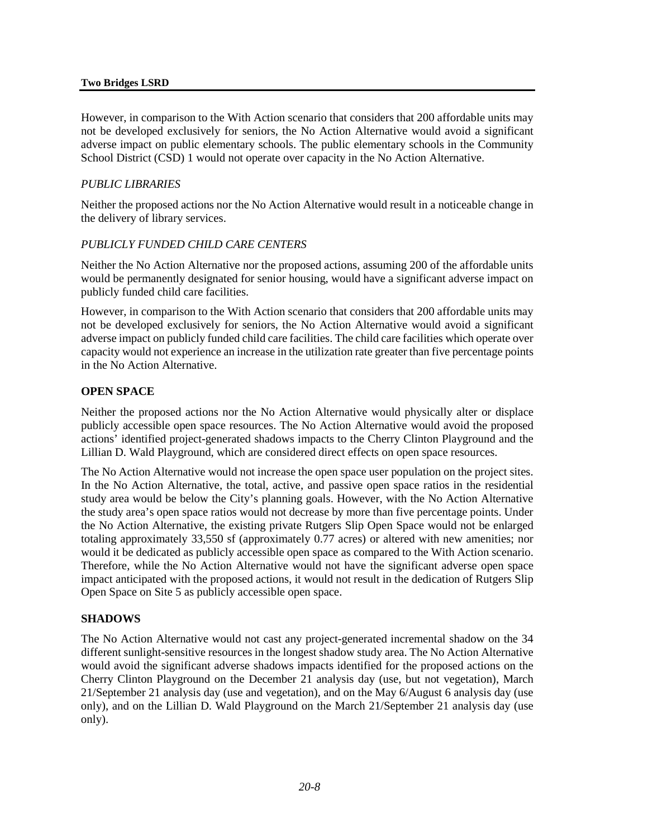#### **Two Bridges LSRD**

However, in comparison to the With Action scenario that considers that 200 affordable units may not be developed exclusively for seniors, the No Action Alternative would avoid a significant adverse impact on public elementary schools. The public elementary schools in the Community School District (CSD) 1 would not operate over capacity in the No Action Alternative.

#### *PUBLIC LIBRARIES*

Neither the proposed actions nor the No Action Alternative would result in a noticeable change in the delivery of library services.

#### *PUBLICLY FUNDED CHILD CARE CENTERS*

Neither the No Action Alternative nor the proposed actions, assuming 200 of the affordable units would be permanently designated for senior housing, would have a significant adverse impact on publicly funded child care facilities.

However, in comparison to the With Action scenario that considers that 200 affordable units may not be developed exclusively for seniors, the No Action Alternative would avoid a significant adverse impact on publicly funded child care facilities. The child care facilities which operate over capacity would not experience an increase in the utilization rate greater than five percentage points in the No Action Alternative.

#### **OPEN SPACE**

Neither the proposed actions nor the No Action Alternative would physically alter or displace publicly accessible open space resources. The No Action Alternative would avoid the proposed actions' identified project-generated shadows impacts to the Cherry Clinton Playground and the Lillian D. Wald Playground, which are considered direct effects on open space resources.

The No Action Alternative would not increase the open space user population on the project sites. In the No Action Alternative, the total, active, and passive open space ratios in the residential study area would be below the City's planning goals. However, with the No Action Alternative the study area's open space ratios would not decrease by more than five percentage points. Under the No Action Alternative, the existing private Rutgers Slip Open Space would not be enlarged totaling approximately 33,550 sf (approximately 0.77 acres) or altered with new amenities; nor would it be dedicated as publicly accessible open space as compared to the With Action scenario. Therefore, while the No Action Alternative would not have the significant adverse open space impact anticipated with the proposed actions, it would not result in the dedication of Rutgers Slip Open Space on Site 5 as publicly accessible open space.

#### **SHADOWS**

The No Action Alternative would not cast any project-generated incremental shadow on the 34 different sunlight-sensitive resources in the longest shadow study area. The No Action Alternative would avoid the significant adverse shadows impacts identified for the proposed actions on the Cherry Clinton Playground on the December 21 analysis day (use, but not vegetation), March 21/September 21 analysis day (use and vegetation), and on the May 6/August 6 analysis day (use only), and on the Lillian D. Wald Playground on the March 21/September 21 analysis day (use only).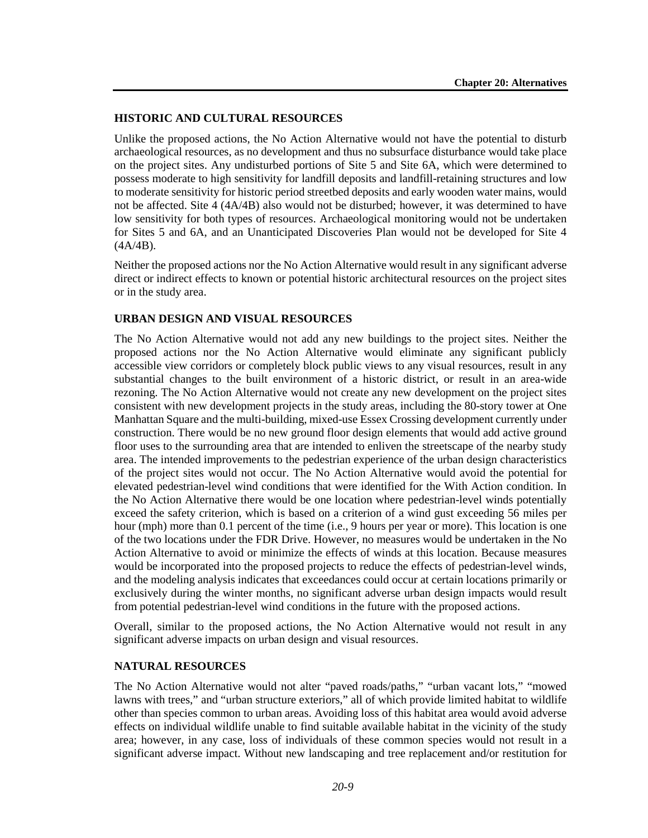#### **HISTORIC AND CULTURAL RESOURCES**

Unlike the proposed actions, the No Action Alternative would not have the potential to disturb archaeological resources, as no development and thus no subsurface disturbance would take place on the project sites. Any undisturbed portions of Site 5 and Site 6A, which were determined to possess moderate to high sensitivity for landfill deposits and landfill-retaining structures and low to moderate sensitivity for historic period streetbed deposits and early wooden water mains, would not be affected. Site 4 (4A/4B) also would not be disturbed; however, it was determined to have low sensitivity for both types of resources. Archaeological monitoring would not be undertaken for Sites 5 and 6A, and an Unanticipated Discoveries Plan would not be developed for Site 4  $(4A/4B)$ .

Neither the proposed actions nor the No Action Alternative would result in any significant adverse direct or indirect effects to known or potential historic architectural resources on the project sites or in the study area.

#### **URBAN DESIGN AND VISUAL RESOURCES**

The No Action Alternative would not add any new buildings to the project sites. Neither the proposed actions nor the No Action Alternative would eliminate any significant publicly accessible view corridors or completely block public views to any visual resources, result in any substantial changes to the built environment of a historic district, or result in an area-wide rezoning. The No Action Alternative would not create any new development on the project sites consistent with new development projects in the study areas, including the 80-story tower at One Manhattan Square and the multi-building, mixed-use Essex Crossing development currently under construction. There would be no new ground floor design elements that would add active ground floor uses to the surrounding area that are intended to enliven the streetscape of the nearby study area. The intended improvements to the pedestrian experience of the urban design characteristics of the project sites would not occur. The No Action Alternative would avoid the potential for elevated pedestrian-level wind conditions that were identified for the With Action condition. In the No Action Alternative there would be one location where pedestrian-level winds potentially exceed the safety criterion, which is based on a criterion of a wind gust exceeding 56 miles per hour (mph) more than 0.1 percent of the time (i.e., 9 hours per year or more). This location is one of the two locations under the FDR Drive. However, no measures would be undertaken in the No Action Alternative to avoid or minimize the effects of winds at this location. Because measures would be incorporated into the proposed projects to reduce the effects of pedestrian-level winds, and the modeling analysis indicates that exceedances could occur at certain locations primarily or exclusively during the winter months, no significant adverse urban design impacts would result from potential pedestrian-level wind conditions in the future with the proposed actions.

Overall, similar to the proposed actions, the No Action Alternative would not result in any significant adverse impacts on urban design and visual resources.

#### **NATURAL RESOURCES**

The No Action Alternative would not alter "paved roads/paths," "urban vacant lots," "mowed lawns with trees," and "urban structure exteriors," all of which provide limited habitat to wildlife other than species common to urban areas. Avoiding loss of this habitat area would avoid adverse effects on individual wildlife unable to find suitable available habitat in the vicinity of the study area; however, in any case, loss of individuals of these common species would not result in a significant adverse impact. Without new landscaping and tree replacement and/or restitution for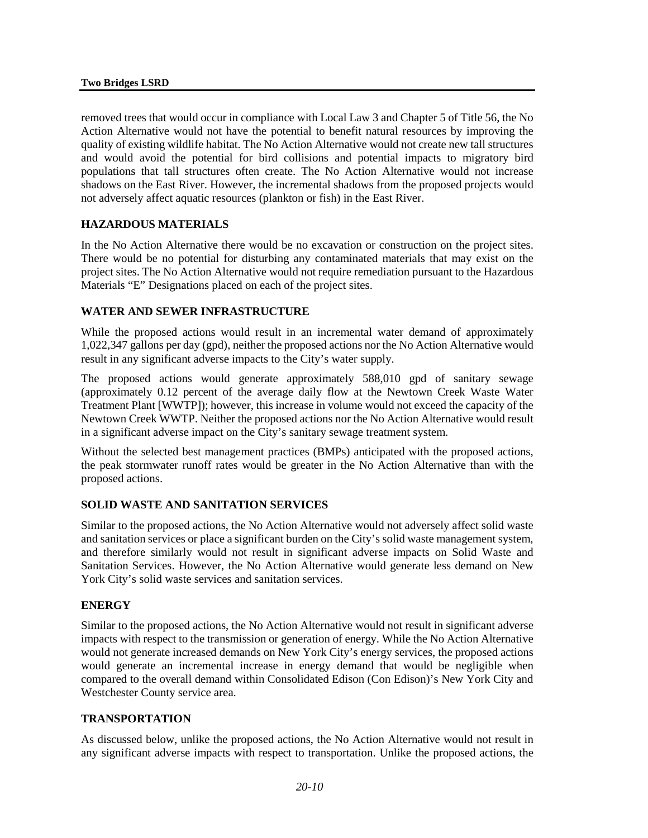removed trees that would occur in compliance with Local Law 3 and Chapter 5 of Title 56, the No Action Alternative would not have the potential to benefit natural resources by improving the quality of existing wildlife habitat. The No Action Alternative would not create new tall structures and would avoid the potential for bird collisions and potential impacts to migratory bird populations that tall structures often create. The No Action Alternative would not increase shadows on the East River. However, the incremental shadows from the proposed projects would not adversely affect aquatic resources (plankton or fish) in the East River.

## **HAZARDOUS MATERIALS**

In the No Action Alternative there would be no excavation or construction on the project sites. There would be no potential for disturbing any contaminated materials that may exist on the project sites. The No Action Alternative would not require remediation pursuant to the Hazardous Materials "E" Designations placed on each of the project sites.

#### **WATER AND SEWER INFRASTRUCTURE**

While the proposed actions would result in an incremental water demand of approximately 1,022,347 gallons per day (gpd), neither the proposed actions nor the No Action Alternative would result in any significant adverse impacts to the City's water supply.

The proposed actions would generate approximately 588,010 gpd of sanitary sewage (approximately 0.12 percent of the average daily flow at the Newtown Creek Waste Water Treatment Plant [WWTP]); however, this increase in volume would not exceed the capacity of the Newtown Creek WWTP. Neither the proposed actions nor the No Action Alternative would result in a significant adverse impact on the City's sanitary sewage treatment system.

Without the selected best management practices (BMPs) anticipated with the proposed actions, the peak stormwater runoff rates would be greater in the No Action Alternative than with the proposed actions.

#### **SOLID WASTE AND SANITATION SERVICES**

Similar to the proposed actions, the No Action Alternative would not adversely affect solid waste and sanitation services or place a significant burden on the City's solid waste management system, and therefore similarly would not result in significant adverse impacts on Solid Waste and Sanitation Services. However, the No Action Alternative would generate less demand on New York City's solid waste services and sanitation services.

#### **ENERGY**

Similar to the proposed actions, the No Action Alternative would not result in significant adverse impacts with respect to the transmission or generation of energy. While the No Action Alternative would not generate increased demands on New York City's energy services, the proposed actions would generate an incremental increase in energy demand that would be negligible when compared to the overall demand within Consolidated Edison (Con Edison)'s New York City and Westchester County service area.

## **TRANSPORTATION**

As discussed below, unlike the proposed actions, the No Action Alternative would not result in any significant adverse impacts with respect to transportation. Unlike the proposed actions, the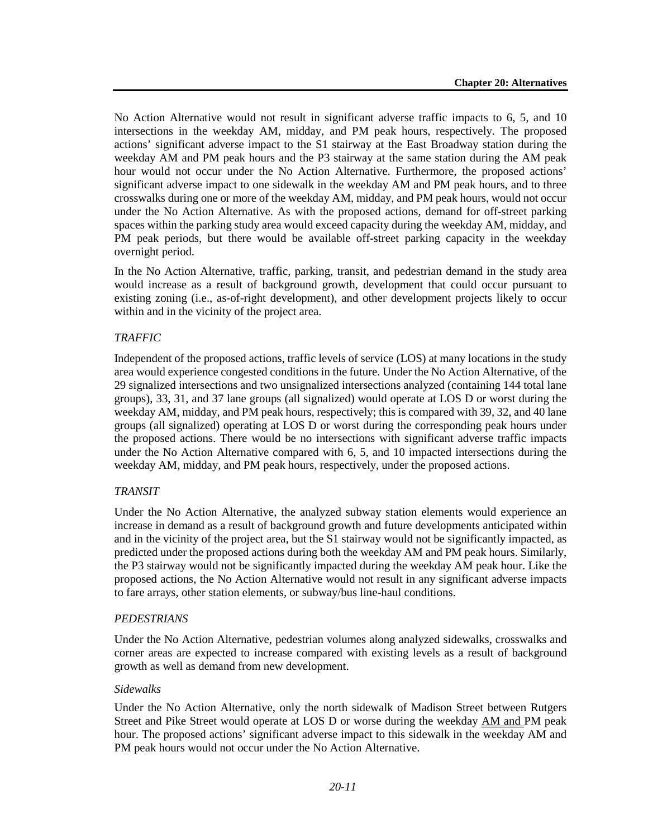No Action Alternative would not result in significant adverse traffic impacts to 6, 5, and 10 intersections in the weekday AM, midday, and PM peak hours, respectively. The proposed actions' significant adverse impact to the S1 stairway at the East Broadway station during the weekday AM and PM peak hours and the P3 stairway at the same station during the AM peak hour would not occur under the No Action Alternative. Furthermore, the proposed actions' significant adverse impact to one sidewalk in the weekday AM and PM peak hours, and to three crosswalks during one or more of the weekday AM, midday, and PM peak hours, would not occur under the No Action Alternative. As with the proposed actions, demand for off-street parking spaces within the parking study area would exceed capacity during the weekday AM, midday, and PM peak periods, but there would be available off-street parking capacity in the weekday overnight period.

In the No Action Alternative, traffic, parking, transit, and pedestrian demand in the study area would increase as a result of background growth, development that could occur pursuant to existing zoning (i.e., as-of-right development), and other development projects likely to occur within and in the vicinity of the project area.

#### *TRAFFIC*

Independent of the proposed actions, traffic levels of service (LOS) at many locations in the study area would experience congested conditions in the future. Under the No Action Alternative, of the 29 signalized intersections and two unsignalized intersections analyzed (containing 144 total lane groups), 33, 31, and 37 lane groups (all signalized) would operate at LOS D or worst during the weekday AM, midday, and PM peak hours, respectively; this is compared with 39, 32, and 40 lane groups (all signalized) operating at LOS D or worst during the corresponding peak hours under the proposed actions. There would be no intersections with significant adverse traffic impacts under the No Action Alternative compared with 6, 5, and 10 impacted intersections during the weekday AM, midday, and PM peak hours, respectively, under the proposed actions.

#### *TRANSIT*

Under the No Action Alternative, the analyzed subway station elements would experience an increase in demand as a result of background growth and future developments anticipated within and in the vicinity of the project area, but the S1 stairway would not be significantly impacted, as predicted under the proposed actions during both the weekday AM and PM peak hours. Similarly, the P3 stairway would not be significantly impacted during the weekday AM peak hour. Like the proposed actions, the No Action Alternative would not result in any significant adverse impacts to fare arrays, other station elements, or subway/bus line-haul conditions.

#### *PEDESTRIANS*

Under the No Action Alternative, pedestrian volumes along analyzed sidewalks, crosswalks and corner areas are expected to increase compared with existing levels as a result of background growth as well as demand from new development.

#### *Sidewalks*

Under the No Action Alternative, only the north sidewalk of Madison Street between Rutgers Street and Pike Street would operate at LOS D or worse during the weekday AM and PM peak hour. The proposed actions' significant adverse impact to this sidewalk in the weekday AM and PM peak hours would not occur under the No Action Alternative.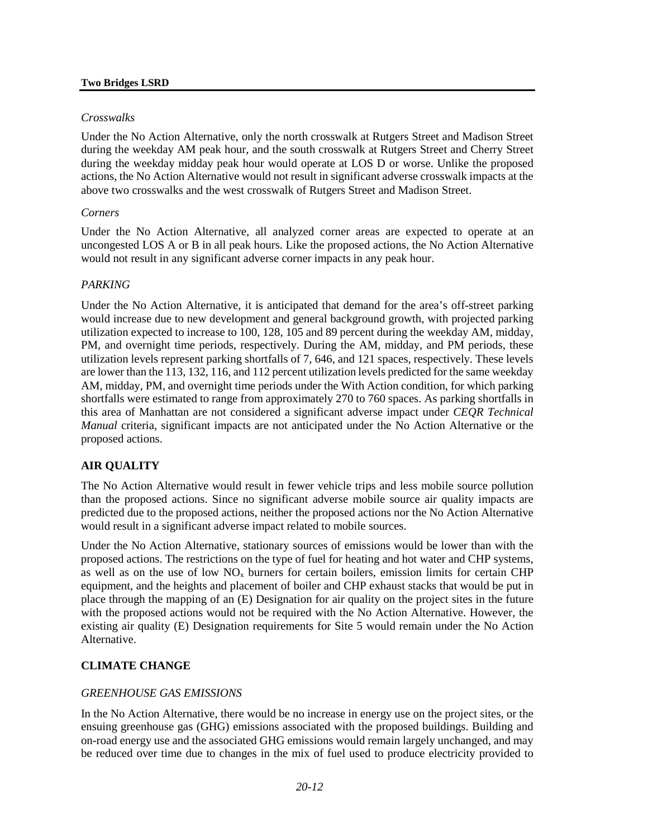#### **Two Bridges LSRD**

#### *Crosswalks*

Under the No Action Alternative, only the north crosswalk at Rutgers Street and Madison Street during the weekday AM peak hour, and the south crosswalk at Rutgers Street and Cherry Street during the weekday midday peak hour would operate at LOS D or worse. Unlike the proposed actions, the No Action Alternative would not result in significant adverse crosswalk impacts at the above two crosswalks and the west crosswalk of Rutgers Street and Madison Street.

#### *Corners*

Under the No Action Alternative, all analyzed corner areas are expected to operate at an uncongested LOS A or B in all peak hours. Like the proposed actions, the No Action Alternative would not result in any significant adverse corner impacts in any peak hour.

#### *PARKING*

Under the No Action Alternative, it is anticipated that demand for the area's off-street parking would increase due to new development and general background growth, with projected parking utilization expected to increase to 100, 128, 105 and 89 percent during the weekday AM, midday, PM, and overnight time periods, respectively. During the AM, midday, and PM periods, these utilization levels represent parking shortfalls of 7, 646, and 121 spaces, respectively. These levels are lower than the 113, 132, 116, and 112 percent utilization levels predicted for the same weekday AM, midday, PM, and overnight time periods under the With Action condition, for which parking shortfalls were estimated to range from approximately 270 to 760 spaces. As parking shortfalls in this area of Manhattan are not considered a significant adverse impact under *CEQR Technical Manual* criteria, significant impacts are not anticipated under the No Action Alternative or the proposed actions.

#### **AIR QUALITY**

The No Action Alternative would result in fewer vehicle trips and less mobile source pollution than the proposed actions. Since no significant adverse mobile source air quality impacts are predicted due to the proposed actions, neither the proposed actions nor the No Action Alternative would result in a significant adverse impact related to mobile sources.

Under the No Action Alternative, stationary sources of emissions would be lower than with the proposed actions. The restrictions on the type of fuel for heating and hot water and CHP systems, as well as on the use of low  $NO<sub>x</sub>$  burners for certain boilers, emission limits for certain CHP equipment, and the heights and placement of boiler and CHP exhaust stacks that would be put in place through the mapping of an (E) Designation for air quality on the project sites in the future with the proposed actions would not be required with the No Action Alternative. However, the existing air quality (E) Designation requirements for Site 5 would remain under the No Action Alternative.

## **CLIMATE CHANGE**

#### *GREENHOUSE GAS EMISSIONS*

In the No Action Alternative, there would be no increase in energy use on the project sites, or the ensuing greenhouse gas (GHG) emissions associated with the proposed buildings. Building and on-road energy use and the associated GHG emissions would remain largely unchanged, and may be reduced over time due to changes in the mix of fuel used to produce electricity provided to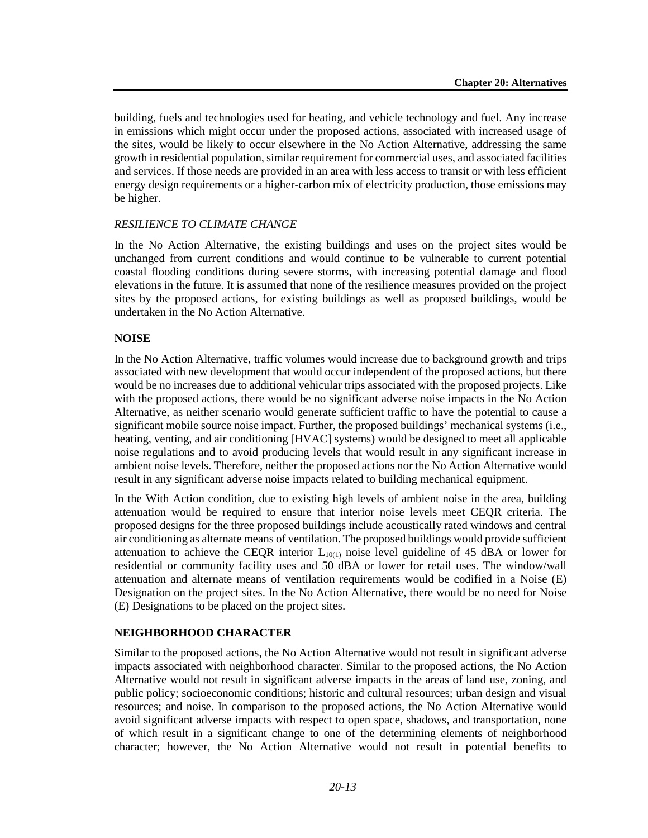building, fuels and technologies used for heating, and vehicle technology and fuel. Any increase in emissions which might occur under the proposed actions, associated with increased usage of the sites, would be likely to occur elsewhere in the No Action Alternative, addressing the same growth in residential population, similar requirement for commercial uses, and associated facilities and services. If those needs are provided in an area with less access to transit or with less efficient energy design requirements or a higher-carbon mix of electricity production, those emissions may be higher.

#### *RESILIENCE TO CLIMATE CHANGE*

In the No Action Alternative, the existing buildings and uses on the project sites would be unchanged from current conditions and would continue to be vulnerable to current potential coastal flooding conditions during severe storms, with increasing potential damage and flood elevations in the future. It is assumed that none of the resilience measures provided on the project sites by the proposed actions, for existing buildings as well as proposed buildings, would be undertaken in the No Action Alternative.

#### **NOISE**

In the No Action Alternative, traffic volumes would increase due to background growth and trips associated with new development that would occur independent of the proposed actions, but there would be no increases due to additional vehicular trips associated with the proposed projects. Like with the proposed actions, there would be no significant adverse noise impacts in the No Action Alternative, as neither scenario would generate sufficient traffic to have the potential to cause a significant mobile source noise impact. Further, the proposed buildings' mechanical systems (i.e., heating, venting, and air conditioning [HVAC] systems) would be designed to meet all applicable noise regulations and to avoid producing levels that would result in any significant increase in ambient noise levels. Therefore, neither the proposed actions nor the No Action Alternative would result in any significant adverse noise impacts related to building mechanical equipment.

In the With Action condition, due to existing high levels of ambient noise in the area, building attenuation would be required to ensure that interior noise levels meet CEQR criteria. The proposed designs for the three proposed buildings include acoustically rated windows and central air conditioning as alternate means of ventilation. The proposed buildings would provide sufficient attenuation to achieve the CEQR interior  $L_{10(1)}$  noise level guideline of 45 dBA or lower for residential or community facility uses and 50 dBA or lower for retail uses. The window/wall attenuation and alternate means of ventilation requirements would be codified in a Noise (E) Designation on the project sites. In the No Action Alternative, there would be no need for Noise (E) Designations to be placed on the project sites.

#### **NEIGHBORHOOD CHARACTER**

Similar to the proposed actions, the No Action Alternative would not result in significant adverse impacts associated with neighborhood character. Similar to the proposed actions, the No Action Alternative would not result in significant adverse impacts in the areas of land use, zoning, and public policy; socioeconomic conditions; historic and cultural resources; urban design and visual resources; and noise. In comparison to the proposed actions, the No Action Alternative would avoid significant adverse impacts with respect to open space, shadows, and transportation, none of which result in a significant change to one of the determining elements of neighborhood character; however, the No Action Alternative would not result in potential benefits to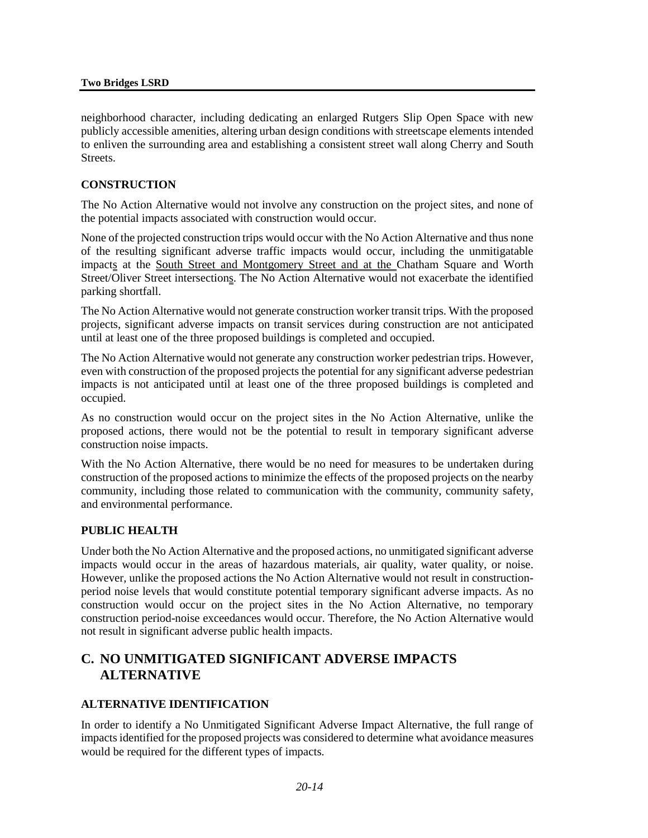neighborhood character, including dedicating an enlarged Rutgers Slip Open Space with new publicly accessible amenities, altering urban design conditions with streetscape elements intended to enliven the surrounding area and establishing a consistent street wall along Cherry and South Streets.

#### **CONSTRUCTION**

The No Action Alternative would not involve any construction on the project sites, and none of the potential impacts associated with construction would occur.

None of the projected construction trips would occur with the No Action Alternative and thus none of the resulting significant adverse traffic impacts would occur, including the unmitigatable impacts at the South Street and Montgomery Street and at the Chatham Square and Worth Street/Oliver Street intersections. The No Action Alternative would not exacerbate the identified parking shortfall.

The No Action Alternative would not generate construction worker transit trips. With the proposed projects, significant adverse impacts on transit services during construction are not anticipated until at least one of the three proposed buildings is completed and occupied.

The No Action Alternative would not generate any construction worker pedestrian trips. However, even with construction of the proposed projects the potential for any significant adverse pedestrian impacts is not anticipated until at least one of the three proposed buildings is completed and occupied.

As no construction would occur on the project sites in the No Action Alternative, unlike the proposed actions, there would not be the potential to result in temporary significant adverse construction noise impacts.

With the No Action Alternative, there would be no need for measures to be undertaken during construction of the proposed actions to minimize the effects of the proposed projects on the nearby community, including those related to communication with the community, community safety, and environmental performance.

#### **PUBLIC HEALTH**

Under both the No Action Alternative and the proposed actions, no unmitigated significant adverse impacts would occur in the areas of hazardous materials, air quality, water quality, or noise. However, unlike the proposed actions the No Action Alternative would not result in constructionperiod noise levels that would constitute potential temporary significant adverse impacts. As no construction would occur on the project sites in the No Action Alternative, no temporary construction period-noise exceedances would occur. Therefore, the No Action Alternative would not result in significant adverse public health impacts.

# **C. NO UNMITIGATED SIGNIFICANT ADVERSE IMPACTS ALTERNATIVE**

#### **ALTERNATIVE IDENTIFICATION**

In order to identify a No Unmitigated Significant Adverse Impact Alternative, the full range of impacts identified for the proposed projects was considered to determine what avoidance measures would be required for the different types of impacts.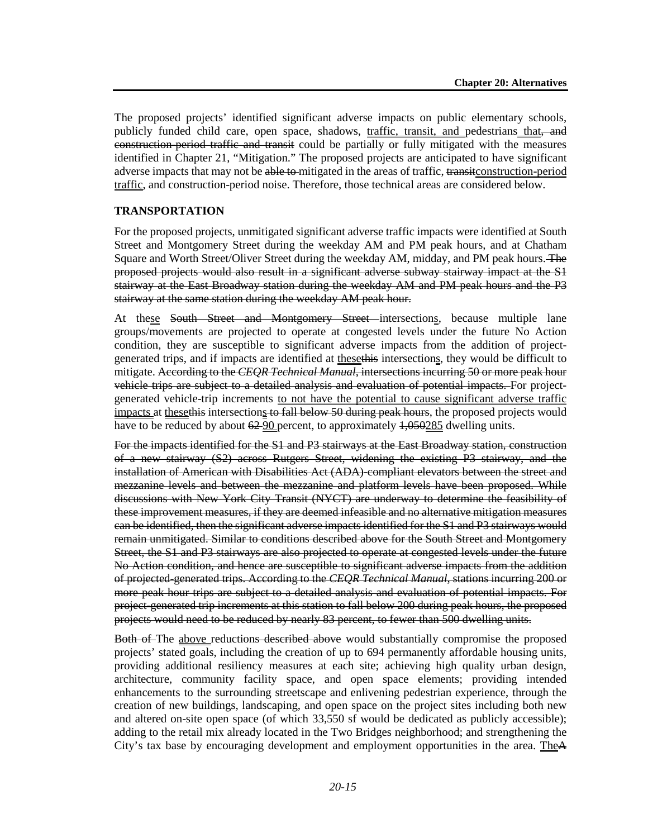The proposed projects' identified significant adverse impacts on public elementary schools, publicly funded child care, open space, shadows, traffic, transit, and pedestrians that, and construction-period traffic and transit could be partially or fully mitigated with the measures identified in Chapter 21, "Mitigation." The proposed projects are anticipated to have significant adverse impacts that may not be able to mitigated in the areas of traffic, transit construction-period traffic, and construction-period noise. Therefore, those technical areas are considered below.

#### **TRANSPORTATION**

For the proposed projects, unmitigated significant adverse traffic impacts were identified at South Street and Montgomery Street during the weekday AM and PM peak hours, and at Chatham Square and Worth Street/Oliver Street during the weekday AM, midday, and PM peak hours. The proposed projects would also result in a significant adverse subway stairway impact at the S1 stairway at the East Broadway station during the weekday AM and PM peak hours and the P3 stairway at the same station during the weekday AM peak hour.

At these South Street and Montgomery Street intersections, because multiple lane groups/movements are projected to operate at congested levels under the future No Action condition, they are susceptible to significant adverse impacts from the addition of projectgenerated trips, and if impacts are identified at thesethis intersections, they would be difficult to mitigate. According to the *CEQR Technical Manual*, intersections incurring 50 or more peak hour vehicle trips are subject to a detailed analysis and evaluation of potential impacts. For projectgenerated vehicle-trip increments to not have the potential to cause significant adverse traffic impacts at these this intersections to fall below 50 during peak hours, the proposed projects would have to be reduced by about  $62-90$  percent, to approximately  $1,050285$  dwelling units.

For the impacts identified for the S1 and P3 stairways at the East Broadway station, construction of a new stairway (S2) across Rutgers Street, widening the existing P3 stairway, and the installation of American with Disabilities Act (ADA)-compliant elevators between the street and mezzanine levels and between the mezzanine and platform levels have been proposed. While discussions with New York City Transit (NYCT) are underway to determine the feasibility of these improvement measures, if they are deemed infeasible and no alternative mitigation measures can be identified, then the significant adverse impacts identified for the S1 and P3 stairways would remain unmitigated. Similar to conditions described above for the South Street and Montgomery Street, the S1 and P3 stairways are also projected to operate at congested levels under the future No Action condition, and hence are susceptible to significant adverse impacts from the addition of projected-generated trips. According to the *CEQR Technical Manual*, stations incurring 200 or more peak hour trips are subject to a detailed analysis and evaluation of potential impacts. For project-generated trip increments at this station to fall below 200 during peak hours, the proposed projects would need to be reduced by nearly 83 percent, to fewer than 500 dwelling units.

Both of The above reductions described above would substantially compromise the proposed projects' stated goals, including the creation of up to 694 permanently affordable housing units, providing additional resiliency measures at each site; achieving high quality urban design, architecture, community facility space, and open space elements; providing intended enhancements to the surrounding streetscape and enlivening pedestrian experience, through the creation of new buildings, landscaping, and open space on the project sites including both new and altered on-site open space (of which 33,550 sf would be dedicated as publicly accessible); adding to the retail mix already located in the Two Bridges neighborhood; and strengthening the City's tax base by encouraging development and employment opportunities in the area. TheA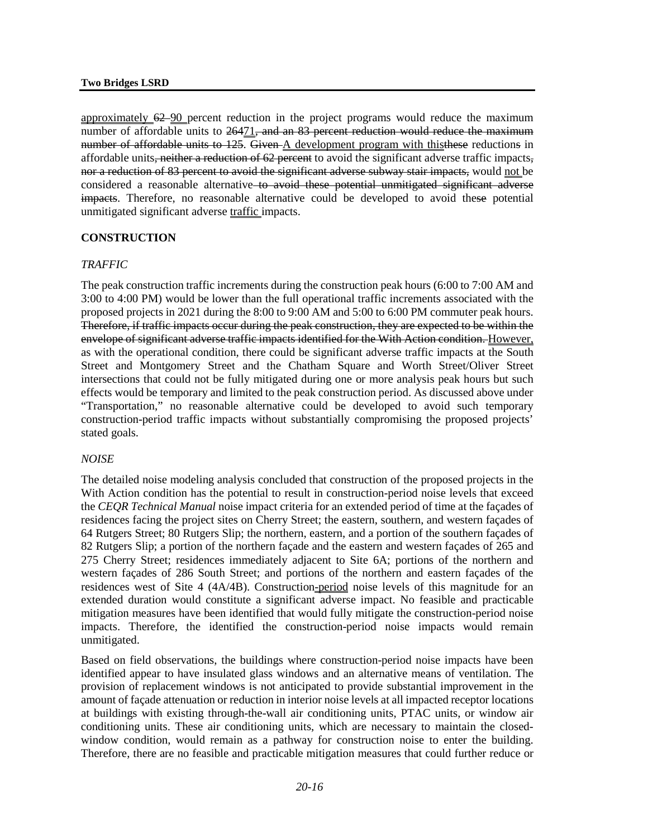approximately  $62-90$  percent reduction in the project programs would reduce the maximum number of affordable units to 26471<del>, and an 83 percent reduction would reduce the maximum</del> number of affordable units to 125. Given A development program with this these reductions in affordable units, neither a reduction of 62 percent to avoid the significant adverse traffic impacts, nor a reduction of 83 percent to avoid the significant adverse subway stair impacts, would not be considered a reasonable alternative to avoid these potential unmitigated significant adverse impacts. Therefore, no reasonable alternative could be developed to avoid these potential unmitigated significant adverse traffic impacts.

## **CONSTRUCTION**

## *TRAFFIC*

The peak construction traffic increments during the construction peak hours (6:00 to 7:00 AM and 3:00 to 4:00 PM) would be lower than the full operational traffic increments associated with the proposed projects in 2021 during the 8:00 to 9:00 AM and 5:00 to 6:00 PM commuter peak hours. Therefore, if traffic impacts occur during the peak construction, they are expected to be within the envelope of significant adverse traffic impacts identified for the With Action condition. However, as with the operational condition, there could be significant adverse traffic impacts at the South Street and Montgomery Street and the Chatham Square and Worth Street/Oliver Street intersections that could not be fully mitigated during one or more analysis peak hours but such effects would be temporary and limited to the peak construction period. As discussed above under "Transportation," no reasonable alternative could be developed to avoid such temporary construction-period traffic impacts without substantially compromising the proposed projects' stated goals.

#### *NOISE*

The detailed noise modeling analysis concluded that construction of the proposed projects in the With Action condition has the potential to result in construction-period noise levels that exceed the *CEQR Technical Manual* noise impact criteria for an extended period of time at the façades of residences facing the project sites on Cherry Street; the eastern, southern, and western façades of 64 Rutgers Street; 80 Rutgers Slip; the northern, eastern, and a portion of the southern façades of 82 Rutgers Slip; a portion of the northern façade and the eastern and western façades of 265 and 275 Cherry Street; residences immediately adjacent to Site 6A; portions of the northern and western façades of 286 South Street; and portions of the northern and eastern façades of the residences west of Site 4 (4A/4B). Construction-period noise levels of this magnitude for an extended duration would constitute a significant adverse impact. No feasible and practicable mitigation measures have been identified that would fully mitigate the construction-period noise impacts. Therefore, the identified the construction-period noise impacts would remain unmitigated.

Based on field observations, the buildings where construction-period noise impacts have been identified appear to have insulated glass windows and an alternative means of ventilation. The provision of replacement windows is not anticipated to provide substantial improvement in the amount of façade attenuation or reduction in interior noise levels at all impacted receptor locations at buildings with existing through-the-wall air conditioning units, PTAC units, or window air conditioning units. These air conditioning units, which are necessary to maintain the closedwindow condition, would remain as a pathway for construction noise to enter the building. Therefore, there are no feasible and practicable mitigation measures that could further reduce or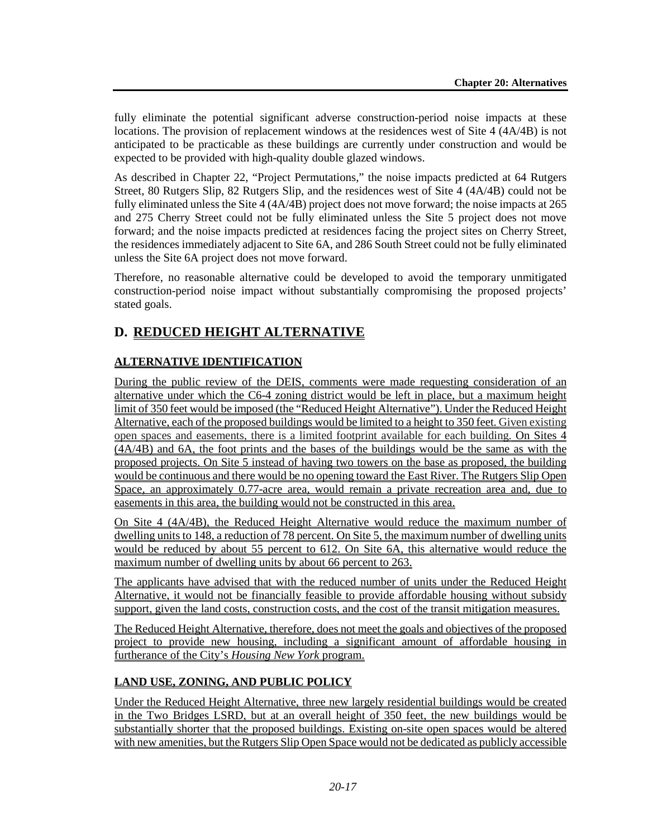fully eliminate the potential significant adverse construction-period noise impacts at these locations. The provision of replacement windows at the residences west of Site 4 (4A/4B) is not anticipated to be practicable as these buildings are currently under construction and would be expected to be provided with high-quality double glazed windows.

As described in Chapter 22, "Project Permutations," the noise impacts predicted at 64 Rutgers Street, 80 Rutgers Slip, 82 Rutgers Slip, and the residences west of Site 4 (4A/4B) could not be fully eliminated unless the Site 4 (4A/4B) project does not move forward; the noise impacts at 265 and 275 Cherry Street could not be fully eliminated unless the Site 5 project does not move forward; and the noise impacts predicted at residences facing the project sites on Cherry Street, the residences immediately adjacent to Site 6A, and 286 South Street could not be fully eliminated unless the Site 6A project does not move forward.

Therefore, no reasonable alternative could be developed to avoid the temporary unmitigated construction-period noise impact without substantially compromising the proposed projects' stated goals.

# **D. REDUCED HEIGHT ALTERNATIVE**

# **ALTERNATIVE IDENTIFICATION**

During the public review of the DEIS, comments were made requesting consideration of an alternative under which the C6-4 zoning district would be left in place, but a maximum height limit of 350 feet would be imposed (the "Reduced Height Alternative"). Under the Reduced Height Alternative, each of the proposed buildings would be limited to a height to 350 feet. Given existing open spaces and easements, there is a limited footprint available for each building. On Sites 4 (4A/4B) and 6A, the foot prints and the bases of the buildings would be the same as with the proposed projects. On Site 5 instead of having two towers on the base as proposed, the building would be continuous and there would be no opening toward the East River. The Rutgers Slip Open Space, an approximately 0.77-acre area, would remain a private recreation area and, due to easements in this area, the building would not be constructed in this area.

On Site 4 (4A/4B), the Reduced Height Alternative would reduce the maximum number of dwelling units to 148, a reduction of 78 percent. On Site 5, the maximum number of dwelling units would be reduced by about 55 percent to 612. On Site 6A, this alternative would reduce the maximum number of dwelling units by about 66 percent to 263.

The applicants have advised that with the reduced number of units under the Reduced Height Alternative, it would not be financially feasible to provide affordable housing without subsidy support, given the land costs, construction costs, and the cost of the transit mitigation measures.

The Reduced Height Alternative, therefore, does not meet the goals and objectives of the proposed project to provide new housing, including a significant amount of affordable housing in furtherance of the City's *Housing New York* program.

## **LAND USE, ZONING, AND PUBLIC POLICY**

Under the Reduced Height Alternative, three new largely residential buildings would be created in the Two Bridges LSRD, but at an overall height of 350 feet, the new buildings would be substantially shorter that the proposed buildings. Existing on-site open spaces would be altered with new amenities, but the Rutgers Slip Open Space would not be dedicated as publicly accessible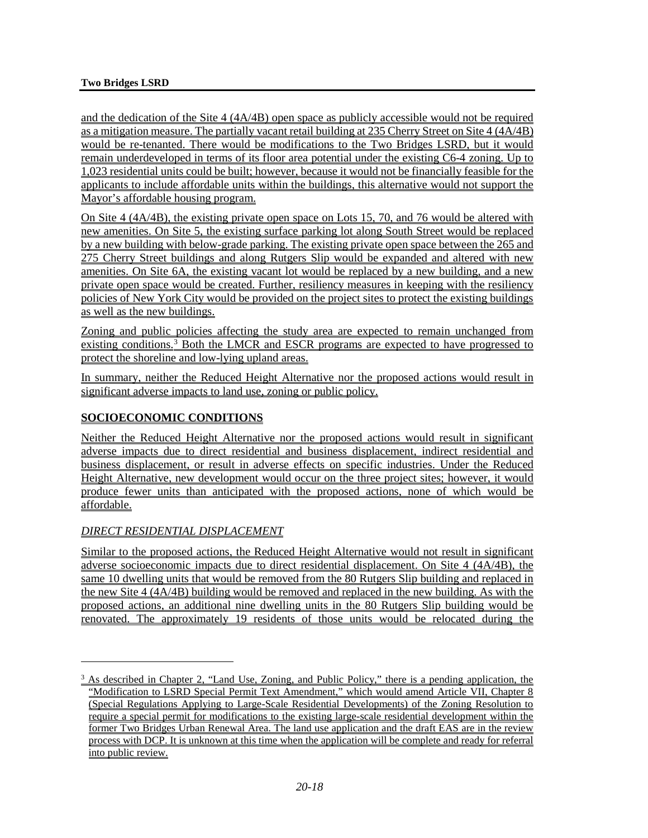and the dedication of the Site 4 (4A/4B) open space as publicly accessible would not be required as a mitigation measure. The partially vacant retail building at 235 Cherry Street on Site 4 (4A/4B) would be re-tenanted. There would be modifications to the Two Bridges LSRD, but it would remain underdeveloped in terms of its floor area potential under the existing C6-4 zoning. Up to 1,023 residential units could be built; however, because it would not be financially feasible for the applicants to include affordable units within the buildings, this alternative would not support the Mayor's affordable housing program.

On Site 4 (4A/4B), the existing private open space on Lots 15, 70, and 76 would be altered with new amenities. On Site 5, the existing surface parking lot along South Street would be replaced by a new building with below-grade parking. The existing private open space between the 265 and 275 Cherry Street buildings and along Rutgers Slip would be expanded and altered with new amenities. On Site 6A, the existing vacant lot would be replaced by a new building, and a new private open space would be created. Further, resiliency measures in keeping with the resiliency policies of New York City would be provided on the project sites to protect the existing buildings as well as the new buildings.

Zoning and public policies affecting the study area are expected to remain unchanged from existing conditions[.3](#page-17-0) Both the LMCR and ESCR programs are expected to have progressed to protect the shoreline and low-lying upland areas.

In summary, neither the Reduced Height Alternative nor the proposed actions would result in significant adverse impacts to land use, zoning or public policy.

## **SOCIOECONOMIC CONDITIONS**

Neither the Reduced Height Alternative nor the proposed actions would result in significant adverse impacts due to direct residential and business displacement, indirect residential and business displacement, or result in adverse effects on specific industries. Under the Reduced Height Alternative, new development would occur on the three project sites; however, it would produce fewer units than anticipated with the proposed actions, none of which would be affordable.

## *DIRECT RESIDENTIAL DISPLACEMENT*

 $\overline{a}$ 

Similar to the proposed actions, the Reduced Height Alternative would not result in significant adverse socioeconomic impacts due to direct residential displacement. On Site 4 (4A/4B), the same 10 dwelling units that would be removed from the 80 Rutgers Slip building and replaced in the new Site 4 (4A/4B) building would be removed and replaced in the new building. As with the proposed actions, an additional nine dwelling units in the 80 Rutgers Slip building would be renovated. The approximately 19 residents of those units would be relocated during the

<span id="page-17-0"></span> $3$  As described in Chapter 2, "Land Use, Zoning, and Public Policy," there is a pending application, the "Modification to LSRD Special Permit Text Amendment," which would amend Article VII, Chapter 8 (Special Regulations Applying to Large-Scale Residential Developments) of the Zoning Resolution to require a special permit for modifications to the existing large-scale residential development within the former Two Bridges Urban Renewal Area. The land use application and the draft EAS are in the review process with DCP. It is unknown at this time when the application will be complete and ready for referral into public review.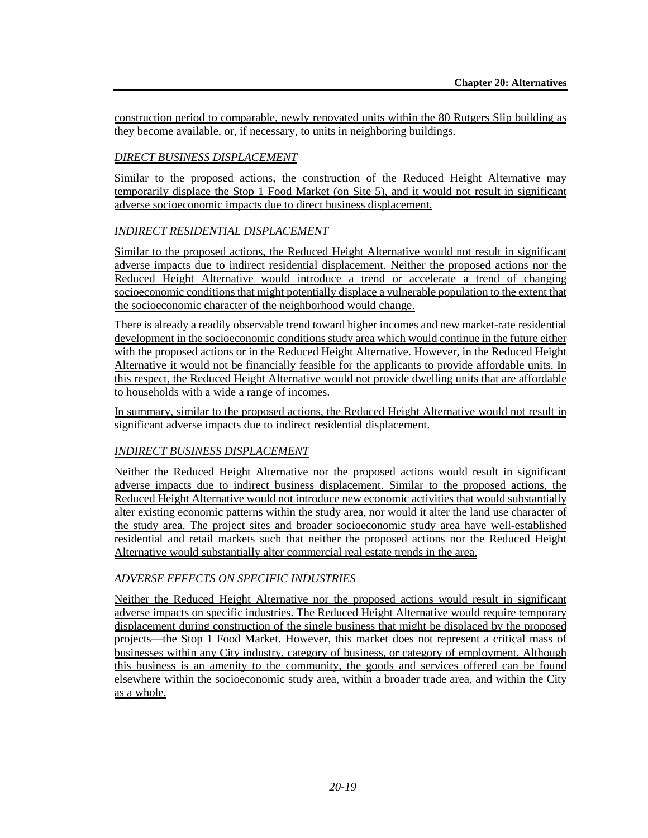construction period to comparable, newly renovated units within the 80 Rutgers Slip building as they become available, or, if necessary, to units in neighboring buildings.

## *DIRECT BUSINESS DISPLACEMENT*

Similar to the proposed actions, the construction of the Reduced Height Alternative may temporarily displace the Stop 1 Food Market (on Site 5), and it would not result in significant adverse socioeconomic impacts due to direct business displacement.

## *INDIRECT RESIDENTIAL DISPLACEMENT*

Similar to the proposed actions, the Reduced Height Alternative would not result in significant adverse impacts due to indirect residential displacement. Neither the proposed actions nor the Reduced Height Alternative would introduce a trend or accelerate a trend of changing socioeconomic conditions that might potentially displace a vulnerable population to the extent that the socioeconomic character of the neighborhood would change.

There is already a readily observable trend toward higher incomes and new market-rate residential development in the socioeconomic conditions study area which would continue in the future either with the proposed actions or in the Reduced Height Alternative. However, in the Reduced Height Alternative it would not be financially feasible for the applicants to provide affordable units. In this respect, the Reduced Height Alternative would not provide dwelling units that are affordable to households with a wide a range of incomes.

In summary, similar to the proposed actions, the Reduced Height Alternative would not result in significant adverse impacts due to indirect residential displacement.

## *INDIRECT BUSINESS DISPLACEMENT*

Neither the Reduced Height Alternative nor the proposed actions would result in significant adverse impacts due to indirect business displacement. Similar to the proposed actions, the Reduced Height Alternative would not introduce new economic activities that would substantially alter existing economic patterns within the study area, nor would it alter the land use character of the study area. The project sites and broader socioeconomic study area have well-established residential and retail markets such that neither the proposed actions nor the Reduced Height Alternative would substantially alter commercial real estate trends in the area.

## *ADVERSE EFFECTS ON SPECIFIC INDUSTRIES*

Neither the Reduced Height Alternative nor the proposed actions would result in significant adverse impacts on specific industries. The Reduced Height Alternative would require temporary displacement during construction of the single business that might be displaced by the proposed projects—the Stop 1 Food Market. However, this market does not represent a critical mass of businesses within any City industry, category of business, or category of employment. Although this business is an amenity to the community, the goods and services offered can be found elsewhere within the socioeconomic study area, within a broader trade area, and within the City as a whole.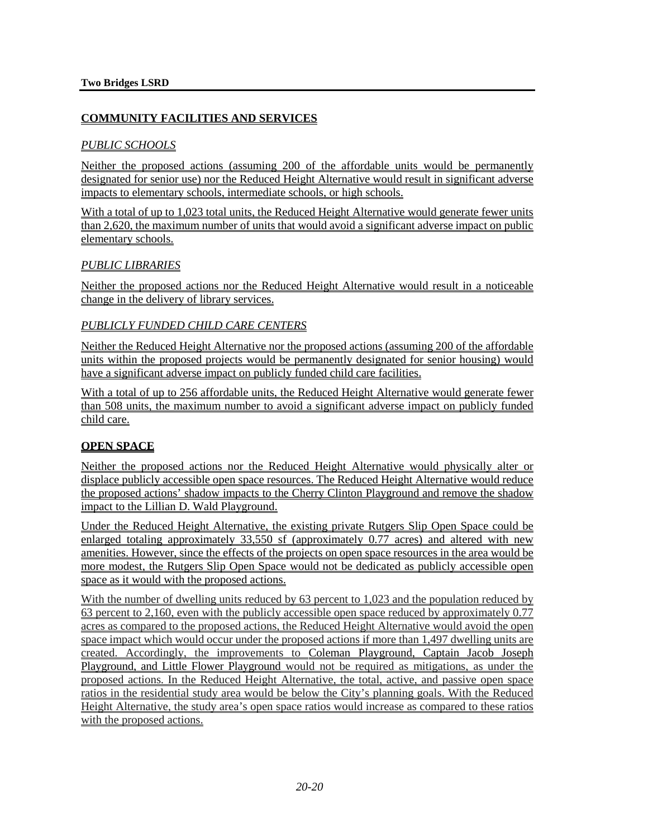## **COMMUNITY FACILITIES AND SERVICES**

### *PUBLIC SCHOOLS*

Neither the proposed actions (assuming 200 of the affordable units would be permanently designated for senior use) nor the Reduced Height Alternative would result in significant adverse impacts to elementary schools, intermediate schools, or high schools.

With a total of up to 1,023 total units, the Reduced Height Alternative would generate fewer units than 2,620, the maximum number of units that would avoid a significant adverse impact on public elementary schools.

#### *PUBLIC LIBRARIES*

Neither the proposed actions nor the Reduced Height Alternative would result in a noticeable change in the delivery of library services.

#### *PUBLICLY FUNDED CHILD CARE CENTERS*

Neither the Reduced Height Alternative nor the proposed actions (assuming 200 of the affordable units within the proposed projects would be permanently designated for senior housing) would have a significant adverse impact on publicly funded child care facilities.

With a total of up to 256 affordable units, the Reduced Height Alternative would generate fewer than 508 units, the maximum number to avoid a significant adverse impact on publicly funded child care.

## **OPEN SPACE**

Neither the proposed actions nor the Reduced Height Alternative would physically alter or displace publicly accessible open space resources. The Reduced Height Alternative would reduce the proposed actions' shadow impacts to the Cherry Clinton Playground and remove the shadow impact to the Lillian D. Wald Playground.

Under the Reduced Height Alternative, the existing private Rutgers Slip Open Space could be enlarged totaling approximately 33,550 sf (approximately 0.77 acres) and altered with new amenities. However, since the effects of the projects on open space resources in the area would be more modest, the Rutgers Slip Open Space would not be dedicated as publicly accessible open space as it would with the proposed actions.

With the number of dwelling units reduced by 63 percent to 1,023 and the population reduced by 63 percent to 2,160, even with the publicly accessible open space reduced by approximately 0.77 acres as compared to the proposed actions, the Reduced Height Alternative would avoid the open space impact which would occur under the proposed actions if more than 1,497 dwelling units are created. Accordingly, the improvements to Coleman Playground, Captain Jacob Joseph Playground, and Little Flower Playground would not be required as mitigations, as under the proposed actions. In the Reduced Height Alternative, the total, active, and passive open space ratios in the residential study area would be below the City's planning goals. With the Reduced Height Alternative, the study area's open space ratios would increase as compared to these ratios with the proposed actions.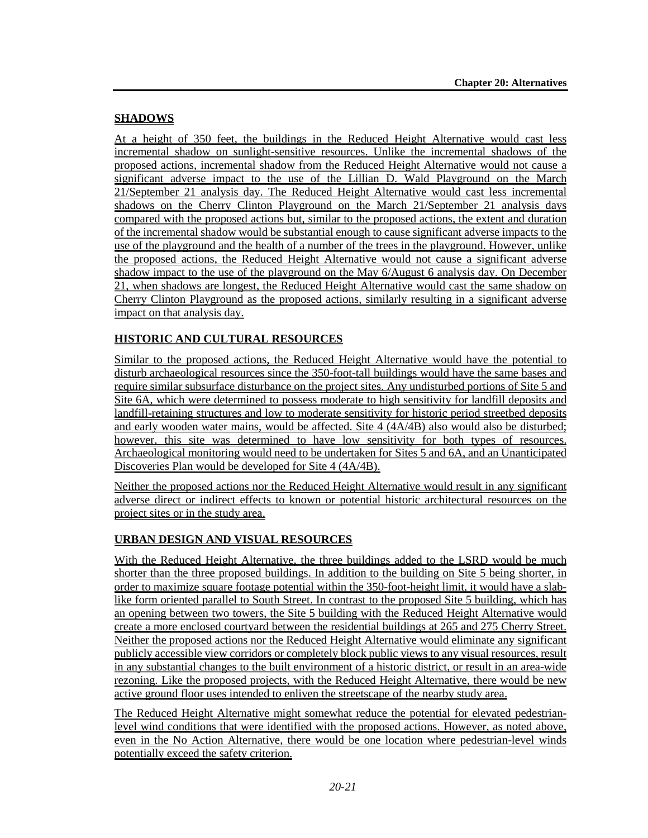## **SHADOWS**

At a height of 350 feet, the buildings in the Reduced Height Alternative would cast less incremental shadow on sunlight-sensitive resources. Unlike the incremental shadows of the proposed actions, incremental shadow from the Reduced Height Alternative would not cause a significant adverse impact to the use of the Lillian D. Wald Playground on the March 21/September 21 analysis day. The Reduced Height Alternative would cast less incremental shadows on the Cherry Clinton Playground on the March 21/September 21 analysis days compared with the proposed actions but, similar to the proposed actions, the extent and duration of the incremental shadow would be substantial enough to cause significant adverse impacts to the use of the playground and the health of a number of the trees in the playground. However, unlike the proposed actions, the Reduced Height Alternative would not cause a significant adverse shadow impact to the use of the playground on the May 6/August 6 analysis day. On December 21, when shadows are longest, the Reduced Height Alternative would cast the same shadow on Cherry Clinton Playground as the proposed actions, similarly resulting in a significant adverse impact on that analysis day.

## **HISTORIC AND CULTURAL RESOURCES**

Similar to the proposed actions, the Reduced Height Alternative would have the potential to disturb archaeological resources since the 350-foot-tall buildings would have the same bases and require similar subsurface disturbance on the project sites. Any undisturbed portions of Site 5 and Site 6A, which were determined to possess moderate to high sensitivity for landfill deposits and landfill-retaining structures and low to moderate sensitivity for historic period streetbed deposits and early wooden water mains, would be affected. Site 4 (4A/4B) also would also be disturbed; however, this site was determined to have low sensitivity for both types of resources. Archaeological monitoring would need to be undertaken for Sites 5 and 6A, and an Unanticipated Discoveries Plan would be developed for Site 4 (4A/4B).

Neither the proposed actions nor the Reduced Height Alternative would result in any significant adverse direct or indirect effects to known or potential historic architectural resources on the project sites or in the study area.

## **URBAN DESIGN AND VISUAL RESOURCES**

With the Reduced Height Alternative, the three buildings added to the LSRD would be much shorter than the three proposed buildings. In addition to the building on Site 5 being shorter, in order to maximize square footage potential within the 350-foot-height limit, it would have a slablike form oriented parallel to South Street. In contrast to the proposed Site 5 building, which has an opening between two towers, the Site 5 building with the Reduced Height Alternative would create a more enclosed courtyard between the residential buildings at 265 and 275 Cherry Street. Neither the proposed actions nor the Reduced Height Alternative would eliminate any significant publicly accessible view corridors or completely block public views to any visual resources, result in any substantial changes to the built environment of a historic district, or result in an area-wide rezoning. Like the proposed projects, with the Reduced Height Alternative, there would be new active ground floor uses intended to enliven the streetscape of the nearby study area.

The Reduced Height Alternative might somewhat reduce the potential for elevated pedestrianlevel wind conditions that were identified with the proposed actions. However, as noted above, even in the No Action Alternative, there would be one location where pedestrian-level winds potentially exceed the safety criterion.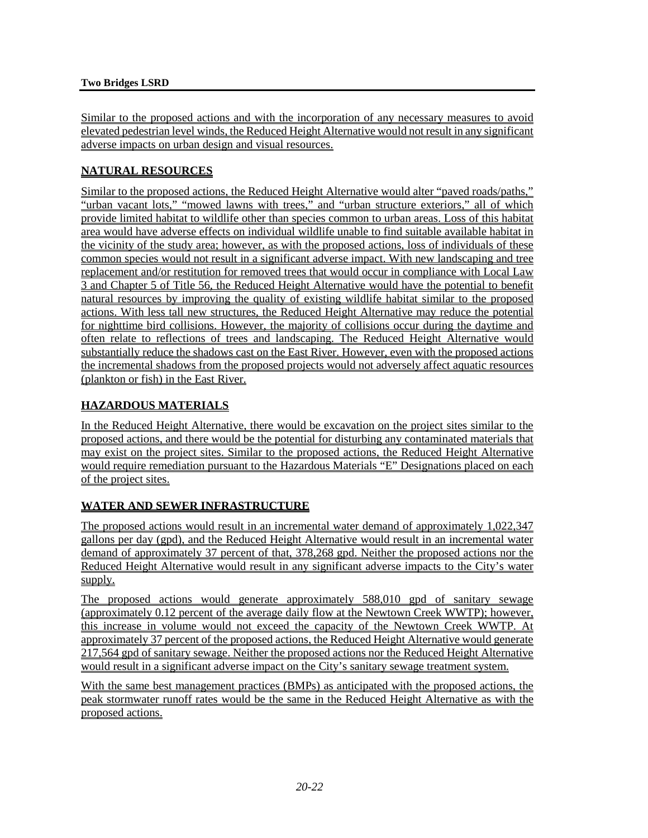Similar to the proposed actions and with the incorporation of any necessary measures to avoid elevated pedestrian level winds, the Reduced Height Alternative would not result in any significant adverse impacts on urban design and visual resources.

## **NATURAL RESOURCES**

Similar to the proposed actions, the Reduced Height Alternative would alter "paved roads/paths," "urban vacant lots," "mowed lawns with trees," and "urban structure exteriors," all of which provide limited habitat to wildlife other than species common to urban areas. Loss of this habitat area would have adverse effects on individual wildlife unable to find suitable available habitat in the vicinity of the study area; however, as with the proposed actions, loss of individuals of these common species would not result in a significant adverse impact. With new landscaping and tree replacement and/or restitution for removed trees that would occur in compliance with Local Law 3 and Chapter 5 of Title 56, the Reduced Height Alternative would have the potential to benefit natural resources by improving the quality of existing wildlife habitat similar to the proposed actions. With less tall new structures, the Reduced Height Alternative may reduce the potential for nighttime bird collisions. However, the majority of collisions occur during the daytime and often relate to reflections of trees and landscaping. The Reduced Height Alternative would substantially reduce the shadows cast on the East River. However, even with the proposed actions the incremental shadows from the proposed projects would not adversely affect aquatic resources (plankton or fish) in the East River.

## **HAZARDOUS MATERIALS**

In the Reduced Height Alternative, there would be excavation on the project sites similar to the proposed actions, and there would be the potential for disturbing any contaminated materials that may exist on the project sites. Similar to the proposed actions, the Reduced Height Alternative would require remediation pursuant to the Hazardous Materials "E" Designations placed on each of the project sites.

## **WATER AND SEWER INFRASTRUCTURE**

The proposed actions would result in an incremental water demand of approximately 1,022,347 gallons per day (gpd), and the Reduced Height Alternative would result in an incremental water demand of approximately 37 percent of that, 378,268 gpd. Neither the proposed actions nor the Reduced Height Alternative would result in any significant adverse impacts to the City's water supply.

The proposed actions would generate approximately 588,010 gpd of sanitary sewage (approximately 0.12 percent of the average daily flow at the Newtown Creek WWTP); however, this increase in volume would not exceed the capacity of the Newtown Creek WWTP. At approximately 37 percent of the proposed actions, the Reduced Height Alternative would generate 217,564 gpd of sanitary sewage. Neither the proposed actions nor the Reduced Height Alternative would result in a significant adverse impact on the City's sanitary sewage treatment system.

With the same best management practices (BMPs) as anticipated with the proposed actions, the peak stormwater runoff rates would be the same in the Reduced Height Alternative as with the proposed actions.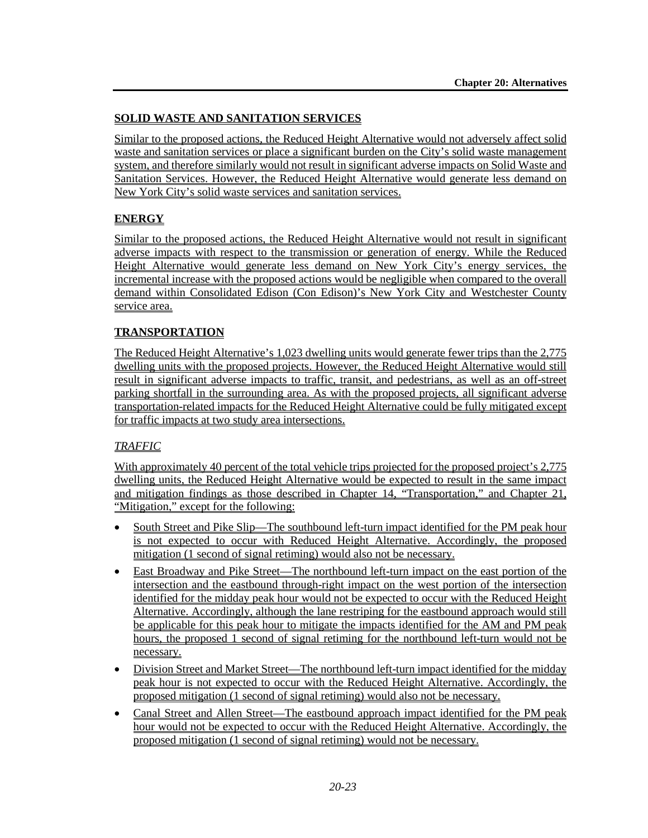## **SOLID WASTE AND SANITATION SERVICES**

Similar to the proposed actions, the Reduced Height Alternative would not adversely affect solid waste and sanitation services or place a significant burden on the City's solid waste management system, and therefore similarly would not result in significant adverse impacts on Solid Waste and Sanitation Services. However, the Reduced Height Alternative would generate less demand on New York City's solid waste services and sanitation services.

## **ENERGY**

Similar to the proposed actions, the Reduced Height Alternative would not result in significant adverse impacts with respect to the transmission or generation of energy. While the Reduced Height Alternative would generate less demand on New York City's energy services, the incremental increase with the proposed actions would be negligible when compared to the overall demand within Consolidated Edison (Con Edison)'s New York City and Westchester County service area.

## **TRANSPORTATION**

The Reduced Height Alternative's 1,023 dwelling units would generate fewer trips than the 2,775 dwelling units with the proposed projects. However, the Reduced Height Alternative would still result in significant adverse impacts to traffic, transit, and pedestrians, as well as an off-street parking shortfall in the surrounding area. As with the proposed projects, all significant adverse transportation-related impacts for the Reduced Height Alternative could be fully mitigated except for traffic impacts at two study area intersections.

## *TRAFFIC*

With approximately 40 percent of the total vehicle trips projected for the proposed project's 2,775 dwelling units, the Reduced Height Alternative would be expected to result in the same impact and mitigation findings as those described in Chapter 14, "Transportation," and Chapter 21, "Mitigation," except for the following:

- South Street and Pike Slip—The southbound left-turn impact identified for the PM peak hour is not expected to occur with Reduced Height Alternative. Accordingly, the proposed mitigation (1 second of signal retiming) would also not be necessary.
- East Broadway and Pike Street—The northbound left-turn impact on the east portion of the intersection and the eastbound through-right impact on the west portion of the intersection identified for the midday peak hour would not be expected to occur with the Reduced Height Alternative. Accordingly, although the lane restriping for the eastbound approach would still be applicable for this peak hour to mitigate the impacts identified for the AM and PM peak hours, the proposed 1 second of signal retiming for the northbound left-turn would not be necessary.
- Division Street and Market Street—The northbound left-turn impact identified for the midday peak hour is not expected to occur with the Reduced Height Alternative. Accordingly, the proposed mitigation (1 second of signal retiming) would also not be necessary.
- Canal Street and Allen Street—The eastbound approach impact identified for the PM peak hour would not be expected to occur with the Reduced Height Alternative. Accordingly, the proposed mitigation (1 second of signal retiming) would not be necessary.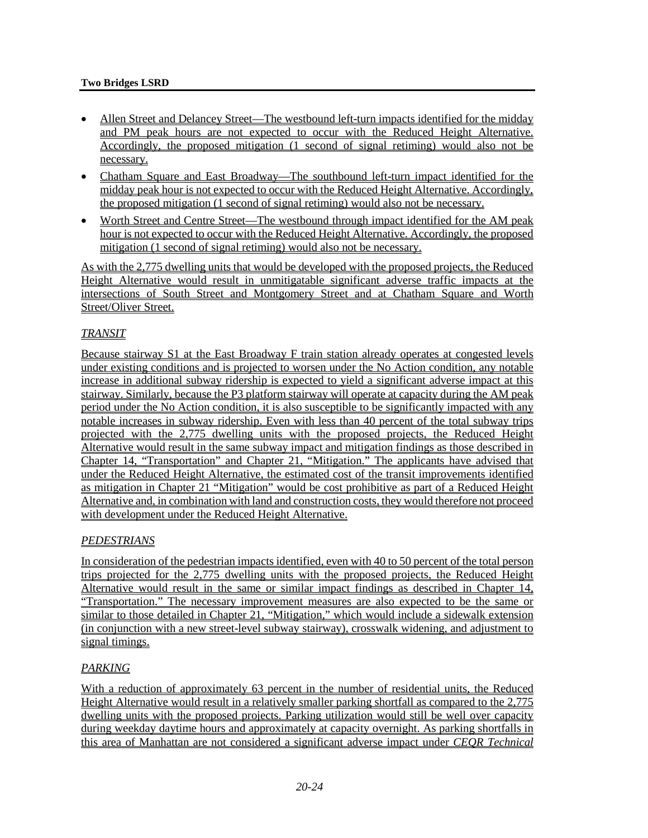#### **Two Bridges LSRD**

- Allen Street and Delancey Street—The westbound left-turn impacts identified for the midday and PM peak hours are not expected to occur with the Reduced Height Alternative. Accordingly, the proposed mitigation (1 second of signal retiming) would also not be necessary.
- Chatham Square and East Broadway—The southbound left-turn impact identified for the midday peak hour is not expected to occur with the Reduced Height Alternative. Accordingly, the proposed mitigation (1 second of signal retiming) would also not be necessary.
- Worth Street and Centre Street—The westbound through impact identified for the AM peak hour is not expected to occur with the Reduced Height Alternative. Accordingly, the proposed mitigation (1 second of signal retiming) would also not be necessary.

As with the 2,775 dwelling units that would be developed with the proposed projects, the Reduced Height Alternative would result in unmitigatable significant adverse traffic impacts at the intersections of South Street and Montgomery Street and at Chatham Square and Worth Street/Oliver Street.

#### *TRANSIT*

Because stairway S1 at the East Broadway F train station already operates at congested levels under existing conditions and is projected to worsen under the No Action condition, any notable increase in additional subway ridership is expected to yield a significant adverse impact at this stairway. Similarly, because the P3 platform stairway will operate at capacity during the AM peak period under the No Action condition, it is also susceptible to be significantly impacted with any notable increases in subway ridership. Even with less than 40 percent of the total subway trips projected with the 2,775 dwelling units with the proposed projects, the Reduced Height Alternative would result in the same subway impact and mitigation findings as those described in Chapter 14, "Transportation" and Chapter 21, "Mitigation." The applicants have advised that under the Reduced Height Alternative, the estimated cost of the transit improvements identified as mitigation in Chapter 21 "Mitigation" would be cost prohibitive as part of a Reduced Height Alternative and, in combination with land and construction costs, they would therefore not proceed with development under the Reduced Height Alternative.

## *PEDESTRIANS*

In consideration of the pedestrian impacts identified, even with 40 to 50 percent of the total person trips projected for the 2,775 dwelling units with the proposed projects, the Reduced Height Alternative would result in the same or similar impact findings as described in Chapter 14, "Transportation." The necessary improvement measures are also expected to be the same or similar to those detailed in Chapter 21, "Mitigation," which would include a sidewalk extension (in conjunction with a new street-level subway stairway), crosswalk widening, and adjustment to signal timings.

## *PARKING*

With a reduction of approximately 63 percent in the number of residential units, the Reduced Height Alternative would result in a relatively smaller parking shortfall as compared to the 2,775 dwelling units with the proposed projects. Parking utilization would still be well over capacity during weekday daytime hours and approximately at capacity overnight. As parking shortfalls in this area of Manhattan are not considered a significant adverse impact under *CEQR Technical*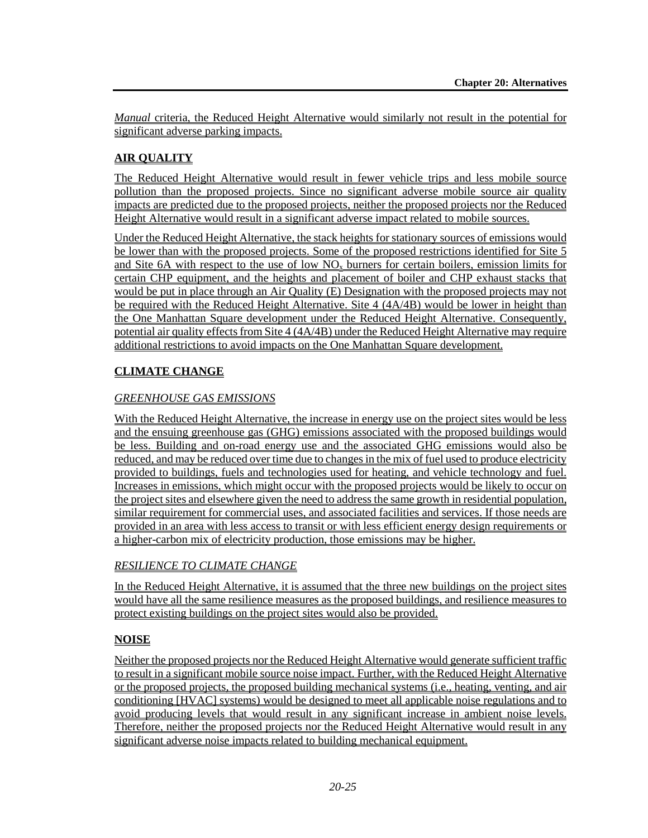*Manual* criteria, the Reduced Height Alternative would similarly not result in the potential for significant adverse parking impacts.

## **AIR QUALITY**

The Reduced Height Alternative would result in fewer vehicle trips and less mobile source pollution than the proposed projects. Since no significant adverse mobile source air quality impacts are predicted due to the proposed projects, neither the proposed projects nor the Reduced Height Alternative would result in a significant adverse impact related to mobile sources.

Under the Reduced Height Alternative, the stack heights for stationary sources of emissions would be lower than with the proposed projects. Some of the proposed restrictions identified for Site 5 and Site 6A with respect to the use of low  $NO<sub>x</sub>$  burners for certain boilers, emission limits for certain CHP equipment, and the heights and placement of boiler and CHP exhaust stacks that would be put in place through an Air Quality (E) Designation with the proposed projects may not be required with the Reduced Height Alternative. Site 4 (4A/4B) would be lower in height than the One Manhattan Square development under the Reduced Height Alternative. Consequently, potential air quality effects from Site 4 (4A/4B) under the Reduced Height Alternative may require additional restrictions to avoid impacts on the One Manhattan Square development.

## **CLIMATE CHANGE**

## *GREENHOUSE GAS EMISSIONS*

With the Reduced Height Alternative, the increase in energy use on the project sites would be less and the ensuing greenhouse gas (GHG) emissions associated with the proposed buildings would be less. Building and on-road energy use and the associated GHG emissions would also be reduced, and may be reduced over time due to changes in the mix of fuel used to produce electricity provided to buildings, fuels and technologies used for heating, and vehicle technology and fuel. Increases in emissions, which might occur with the proposed projects would be likely to occur on the project sites and elsewhere given the need to address the same growth in residential population, similar requirement for commercial uses, and associated facilities and services. If those needs are provided in an area with less access to transit or with less efficient energy design requirements or a higher-carbon mix of electricity production, those emissions may be higher.

## *RESILIENCE TO CLIMATE CHANGE*

In the Reduced Height Alternative, it is assumed that the three new buildings on the project sites would have all the same resilience measures as the proposed buildings, and resilience measures to protect existing buildings on the project sites would also be provided.

## **NOISE**

Neither the proposed projects nor the Reduced Height Alternative would generate sufficient traffic to result in a significant mobile source noise impact. Further, with the Reduced Height Alternative or the proposed projects, the proposed building mechanical systems (i.e., heating, venting, and air conditioning [HVAC] systems) would be designed to meet all applicable noise regulations and to avoid producing levels that would result in any significant increase in ambient noise levels. Therefore, neither the proposed projects nor the Reduced Height Alternative would result in any significant adverse noise impacts related to building mechanical equipment.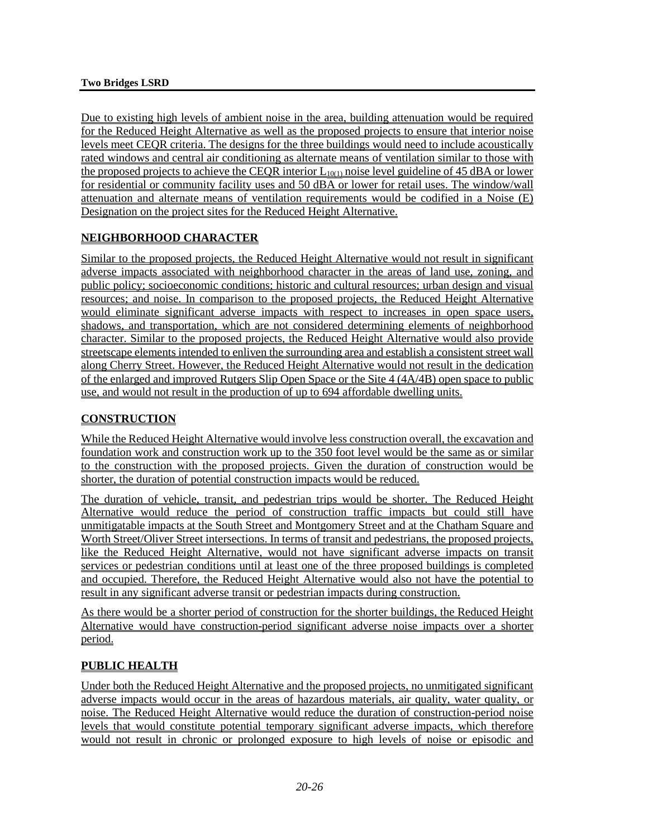Due to existing high levels of ambient noise in the area, building attenuation would be required for the Reduced Height Alternative as well as the proposed projects to ensure that interior noise levels meet CEQR criteria. The designs for the three buildings would need to include acoustically rated windows and central air conditioning as alternate means of ventilation similar to those with the proposed projects to achieve the CEQR interior  $L_{10(1)}$  noise level guideline of 45 dBA or lower for residential or community facility uses and 50 dBA or lower for retail uses. The window/wall attenuation and alternate means of ventilation requirements would be codified in a Noise (E) Designation on the project sites for the Reduced Height Alternative.

# **NEIGHBORHOOD CHARACTER**

Similar to the proposed projects, the Reduced Height Alternative would not result in significant adverse impacts associated with neighborhood character in the areas of land use, zoning, and public policy; socioeconomic conditions; historic and cultural resources; urban design and visual resources; and noise. In comparison to the proposed projects, the Reduced Height Alternative would eliminate significant adverse impacts with respect to increases in open space users, shadows, and transportation, which are not considered determining elements of neighborhood character. Similar to the proposed projects, the Reduced Height Alternative would also provide streetscape elements intended to enliven the surrounding area and establish a consistent street wall along Cherry Street. However, the Reduced Height Alternative would not result in the dedication of the enlarged and improved Rutgers Slip Open Space or the Site 4 (4A/4B) open space to public use, and would not result in the production of up to 694 affordable dwelling units.

## **CONSTRUCTION**

While the Reduced Height Alternative would involve less construction overall, the excavation and foundation work and construction work up to the 350 foot level would be the same as or similar to the construction with the proposed projects. Given the duration of construction would be shorter, the duration of potential construction impacts would be reduced.

The duration of vehicle, transit, and pedestrian trips would be shorter. The Reduced Height Alternative would reduce the period of construction traffic impacts but could still have unmitigatable impacts at the South Street and Montgomery Street and at the Chatham Square and Worth Street/Oliver Street intersections. In terms of transit and pedestrians, the proposed projects, like the Reduced Height Alternative, would not have significant adverse impacts on transit services or pedestrian conditions until at least one of the three proposed buildings is completed and occupied. Therefore, the Reduced Height Alternative would also not have the potential to result in any significant adverse transit or pedestrian impacts during construction.

As there would be a shorter period of construction for the shorter buildings, the Reduced Height Alternative would have construction-period significant adverse noise impacts over a shorter period.

## **PUBLIC HEALTH**

Under both the Reduced Height Alternative and the proposed projects, no unmitigated significant adverse impacts would occur in the areas of hazardous materials, air quality, water quality, or noise. The Reduced Height Alternative would reduce the duration of construction-period noise levels that would constitute potential temporary significant adverse impacts, which therefore would not result in chronic or prolonged exposure to high levels of noise or episodic and